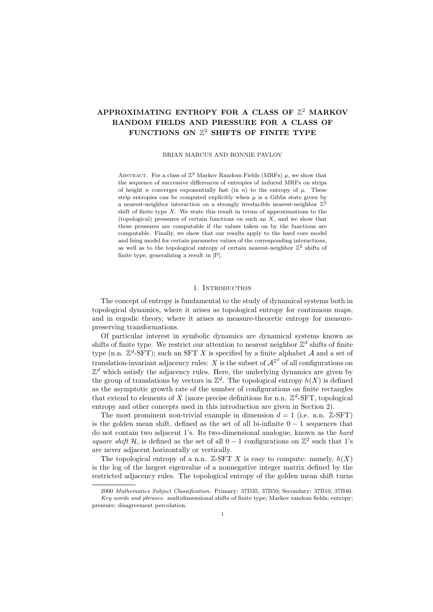# APPROXIMATING ENTROPY FOR A CLASS OF  $\mathbb{Z}^2$  MARKOV RANDOM FIELDS AND PRESSURE FOR A CLASS OF FUNCTIONS ON  $\mathbb{Z}^2$  SHIFTS OF FINITE TYPE

#### BRIAN MARCUS AND RONNIE PAVLOV

ABSTRACT. For a class of  $\mathbb{Z}^2$  Markov Random Fields (MRFs)  $\mu$ , we show that the sequence of successive differences of entropies of induced MRFs on strips of height n converges exponentially fast (in n) to the entropy of  $\mu$ . These strip entropies can be computed explicitly when  $\mu$  is a Gibbs state given by a nearest-neighbor interaction on a strongly irreducible nearest-neighbor  $\mathbb{Z}^2$ shift of finite type  $X$ . We state this result in terms of approximations to the (topological) pressures of certain functions on such an  $X$ , and we show that these pressures are computable if the values taken on by the functions are computable. Finally, we show that our results apply to the hard core model and Ising model for certain parameter values of the corresponding interactions, as well as to the topological entropy of certain nearest-neighbor  $\mathbb{Z}^2$  shifts of finite type, generalizing a result in [P].

### 1. INTRODUCTION

The concept of entropy is fundamental to the study of dynamical systems both in topological dynamics, where it arises as topological entropy for continuous maps, and in ergodic theory, where it arises as measure-theoretic entropy for measurepreserving transformations.

Of particular interest in symbolic dynamics are dynamical systems known as shifts of finite type. We restrict our attention to nearest neighbor  $\mathbb{Z}^d$  shifts of finite type (n.n.  $\mathbb{Z}^d$ -SFT); such an SFT X is specified by a finite alphabet A and a set of translation-invariant adjacency rules: X is the subset of  $\mathcal{A}^{\mathbb{Z}^d}$  of all configurations on  $\mathbb{Z}^d$  which satisfy the adjacency rules. Here, the underlying dynamics are given by the group of translations by vectors in  $\mathbb{Z}^d$ . The topological entropy  $h(X)$  is defined as the asymptotic growth rate of the number of configurations on finite rectangles that extend to elements of X (more precise definitions for n.n.  $\mathbb{Z}^d$ -SFT, topological entropy and other concepts used in this introduction are given in Section 2).

The most prominent non-trivial example in dimension  $d = 1$  (i.e. n.n. Z-SFT) is the golden mean shift, defined as the set of all bi-infinite  $0 - 1$  sequences that do not contain two adjacent 1's. Its two-dimensional analogue, known as the hard square shift H, is defined as the set of all  $0-1$  configurations on  $\mathbb{Z}^2$  such that 1's are never adjacent horizontally or vertically.

The topological entropy of a n.n. Z-SFT X is easy to compute: namely,  $h(X)$ is the log of the largest eigenvalue of a nonnegative integer matrix defined by the restricted adjacency rules. The topological entropy of the golden mean shift turns

<sup>2000</sup> Mathematics Subject Classification. Primary: 37D35, 37B50; Secondary: 37B10, 37B40. Key words and phrases. multidimensional shifts of finite type; Markov random fields; entropy; pressure; disagreement percolation.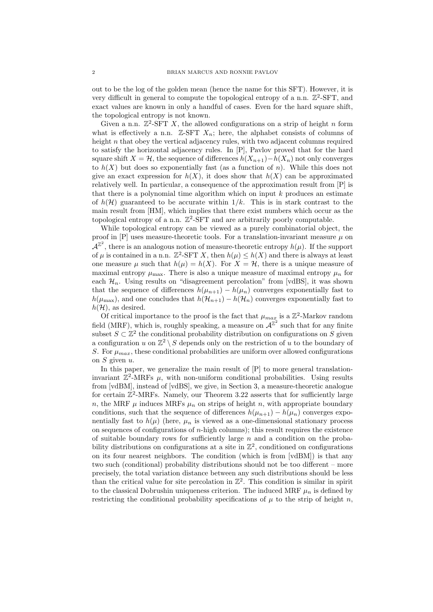out to be the log of the golden mean (hence the name for this SFT). However, it is very difficult in general to compute the topological entropy of a n.n.  $\mathbb{Z}^2$ -SFT, and exact values are known in only a handful of cases. Even for the hard square shift, the topological entropy is not known.

Given a n.n.  $\mathbb{Z}^2$ -SFT X, the allowed configurations on a strip of height n form what is effectively a n.n.  $\mathbb{Z}$ -SFT  $X_n$ ; here, the alphabet consists of columns of height n that obey the vertical adjacency rules, with two adjacent columns required to satisfy the horizontal adjacency rules. In [P], Pavlov proved that for the hard square shift  $X = H$ , the sequence of differences  $h(X_{n+1}) - h(X_n)$  not only converges to  $h(X)$  but does so exponentially fast (as a function of n). While this does not give an exact expression for  $h(X)$ , it does show that  $h(X)$  can be approximated relatively well. In particular, a consequence of the approximation result from [P] is that there is a polynomial time algorithm which on input  $k$  produces an estimate of  $h(\mathcal{H})$  guaranteed to be accurate within  $1/k$ . This is in stark contrast to the main result from [HM], which implies that there exist numbers which occur as the topological entropy of a n.n.  $\mathbb{Z}^2$ -SFT and are arbitrarily poorly computable.

While topological entropy can be viewed as a purely combinatorial object, the proof in  $[P]$  uses measure-theoretic tools. For a translation-invariant measure  $\mu$  on  $\mathcal{A}^{\mathbb{Z}^2}$ , there is an analogous notion of measure-theoretic entropy  $h(\mu)$ . If the support of  $\mu$  is contained in a n.n.  $\mathbb{Z}^2$ -SFT X, then  $h(\mu) \leq h(X)$  and there is always at least one measure  $\mu$  such that  $h(\mu) = h(X)$ . For  $X = \mathcal{H}$ , there is a unique measure of maximal entropy  $\mu_{\text{max}}$ . There is also a unique measure of maximal entropy  $\mu_n$  for each  $\mathcal{H}_n$ . Using results on "disagreement percolation" from [vdBS], it was shown that the sequence of differences  $h(\mu_{n+1}) - h(\mu_n)$  converges exponentially fast to  $h(\mu_{\text{max}})$ , and one concludes that  $h(\mathcal{H}_{n+1}) - h(\mathcal{H}_n)$  converges exponentially fast to  $h(\mathcal{H})$ , as desired.

Of critical importance to the proof is the fact that  $\mu_{max}$  is a  $\mathbb{Z}^2$ -Markov random field (MRF), which is, roughly speaking, a measure on  $\mathcal{A}^{\mathbb{Z}^2}$  such that for any finite subset  $S \subset \mathbb{Z}^2$  the conditional probability distribution on configurations on S given a configuration u on  $\mathbb{Z}^2 \setminus S$  depends only on the restriction of u to the boundary of S. For  $\mu_{max}$ , these conditional probabilities are uniform over allowed configurations on  $S$  given  $u$ .

In this paper, we generalize the main result of [P] to more general translationinvariant  $\mathbb{Z}^2$ -MRFs  $\mu$ , with non-uniform conditional probabilities. Using results from [vdBM], instead of [vdBS], we give, in Section 3, a measure-theoretic analogue for certain  $\mathbb{Z}^2$ -MRFs. Namely, our Theorem 3.22 asserts that for sufficiently large n, the MRF  $\mu$  induces MRFs  $\mu_n$  on strips of height n, with appropriate boundary conditions, such that the sequence of differences  $h(\mu_{n+1}) - h(\mu_n)$  converges exponentially fast to  $h(\mu)$  (here,  $\mu_n$  is viewed as a one-dimensional stationary process on sequences of configurations of  $n$ -high columns); this result requires the existence of suitable boundary rows for sufficiently large  $n$  and a condition on the probability distributions on configurations at a site in  $\mathbb{Z}^2$ , conditioned on configurations on its four nearest neighbors. The condition (which is from [vdBM]) is that any two such (conditional) probability distributions should not be too different – more precisely, the total variation distance between any such distributions should be less than the critical value for site percolation in  $\mathbb{Z}^2$ . This condition is similar in spirit to the classical Dobrushin uniqueness criterion. The induced MRF  $\mu_n$  is defined by restricting the conditional probability specifications of  $\mu$  to the strip of height n,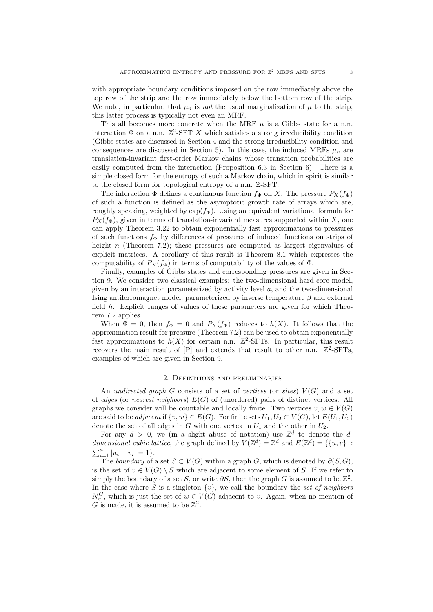with appropriate boundary conditions imposed on the row immediately above the top row of the strip and the row immediately below the bottom row of the strip. We note, in particular, that  $\mu_n$  is not the usual marginalization of  $\mu$  to the strip; this latter process is typically not even an MRF.

This all becomes more concrete when the MRF  $\mu$  is a Gibbs state for a n.n. interaction  $\Phi$  on a n.n.  $\mathbb{Z}^2$ -SFT X which satisfies a strong irreducibility condition (Gibbs states are discussed in Section 4 and the strong irreducibility condition and consequences are discussed in Section 5). In this case, the induced MRFs  $\mu_n$  are translation-invariant first-order Markov chains whose transition probabilities are easily computed from the interaction (Proposition 6.3 in Section 6). There is a simple closed form for the entropy of such a Markov chain, which in spirit is similar to the closed form for topological entropy of a n.n. Z-SFT.

The interaction  $\Phi$  defines a continuous function  $f_{\Phi}$  on X. The pressure  $P_X(f_{\Phi})$ of such a function is defined as the asymptotic growth rate of arrays which are, roughly speaking, weighted by  $\exp(f_{\Phi})$ . Using an equivalent variational formula for  $P_X(f_\Phi)$ , given in terms of translation-invariant measures supported within X, one can apply Theorem 3.22 to obtain exponentially fast approximations to pressures of such functions  $f_{\Phi}$  by differences of pressures of induced functions on strips of height n (Theorem 7.2); these pressures are computed as largest eigenvalues of explicit matrices. A corollary of this result is Theorem 8.1 which expresses the computability of  $P_X(f_\Phi)$  in terms of computability of the values of  $\Phi$ .

Finally, examples of Gibbs states and corresponding pressures are given in Section 9. We consider two classical examples: the two-dimensional hard core model, given by an interaction parameterized by activity level  $a$ , and the two-dimensional Ising antiferromagnet model, parameterized by inverse temperature  $\beta$  and external field h. Explicit ranges of values of these parameters are given for which Theorem 7.2 applies.

When  $\Phi = 0$ , then  $f_{\Phi} = 0$  and  $P_X(f_{\Phi})$  reduces to  $h(X)$ . It follows that the approximation result for pressure (Theorem 7.2) can be used to obtain exponentially fast approximations to  $h(X)$  for certain n.n.  $\mathbb{Z}^2$ -SFTs. In particular, this result recovers the main result of  $[P]$  and extends that result to other n.n.  $\mathbb{Z}^2$ -SFTs, examples of which are given in Section 9.

# 2. Definitions and preliminaries

An undirected graph G consists of a set of vertices (or sites)  $V(G)$  and a set of edges (or nearest neighbors)  $E(G)$  of (unordered) pairs of distinct vertices. All graphs we consider will be countable and locally finite. Two vertices  $v, w \in V(G)$ are said to be *adjacent* if  $\{v, w\} \in E(G)$ . For finite sets  $U_1, U_2 \subset V(G)$ , let  $E(U_1, U_2)$ denote the set of all edges in G with one vertex in  $U_1$  and the other in  $U_2$ .

For any  $d > 0$ , we (in a slight abuse of notation) use  $\mathbb{Z}^d$  to denote the ddimensional cubic lattice, the graph defined by  $V(\mathbb{Z}^d) = \mathbb{Z}^d$  and  $E(\mathbb{Z}^d) = \{ \{u, v\} :$  $\sum_{i=1}^{d} |u_i - v_i| = 1$ .

The boundary of a set  $S \subset V(G)$  within a graph G, which is denoted by  $\partial(S, G)$ , is the set of  $v \in V(G) \setminus S$  which are adjacent to some element of S. If we refer to simply the boundary of a set S, or write  $\partial S$ , then the graph G is assumed to be  $\mathbb{Z}^2$ . In the case where S is a singleton  $\{v\}$ , we call the boundary the set of neighbors  $N_v^G$ , which is just the set of  $w \in V(G)$  adjacent to v. Again, when no mention of G is made, it is assumed to be  $\mathbb{Z}^2$ .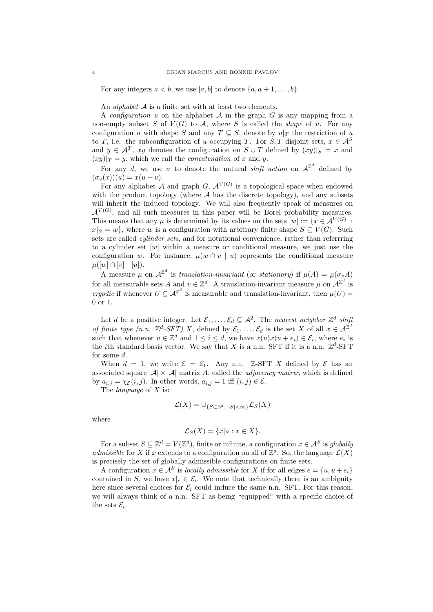For any integers  $a < b$ , we use [a, b] to denote  $\{a, a+1, \ldots, b\}$ .

An *alphabet*  $A$  is a finite set with at least two elements.

A *configuration* u on the alphabet  $A$  in the graph  $G$  is any mapping from a non-empty subset S of  $V(G)$  to A, where S is called the *shape* of u. For any configuration u with shape S and any  $T \subseteq S$ , denote by  $u|_T$  the restriction of u to T, i.e. the subconfiguration of u occupying T. For S, T disjoint sets,  $x \in A^S$ and  $y \in \mathcal{A}^T$ , xy denotes the configuration on  $S \cup T$  defined by  $(xy)|_S = x$  and  $(xy)|_T = y$ , which we call the *concatenation* of x and y.

For any d, we use  $\sigma$  to denote the natural *shift action* on  $\mathcal{A}^{\mathbb{Z}^d}$  defined by  $(\sigma_v(x))(u) = x(u+v).$ 

For any alphabet A and graph G,  $\mathcal{A}^{V(G)}$  is a topological space when endowed with the product topology (where  $A$  has the discrete topology), and any subsets will inherit the induced topology. We will also frequently speak of measures on  $\mathcal{A}^{V(G)}$ , and all such measures in this paper will be Borel probability measures. This means that any  $\mu$  is determined by its values on the sets  $[w] := \{x \in A^{V(G)}\}$  $x|S = w$ , where w is a configuration with arbitrary finite shape  $S \subseteq V(G)$ . Such sets are called *cylinder sets*, and for notational convenience, rather than referrring to a cylinder set [w] within a measure or conditional measure, we just use the configuration w. For instance,  $\mu(w \cap v \mid u)$  represents the conditional measure  $\mu([w] \cap [v] \mid [u]).$ 

A measure  $\mu$  on  $\mathcal{A}^{\mathbb{Z}^d}$  is translation-invariant (or stationary) if  $\mu(A) = \mu(\sigma_v A)$ for all measurable sets A and  $v \in \mathbb{Z}^d$ . A translation-invariant measure  $\mu$  on  $\mathcal{A}^{\mathbb{Z}^d}$  is ergodic if whenever  $U \subseteq \mathcal{A}^{\mathbb{Z}^d}$  is measurable and translation-invariant, then  $\mu(U)$ 0 or 1.

Let d be a positive integer. Let  $\mathcal{E}_1, \ldots, \mathcal{E}_d \subseteq \mathcal{A}^2$ . The nearest neighbor  $\mathbb{Z}^d$  shift of finite type (n.n.  $\mathbb{Z}^d$ -SFT) X, defined by  $\mathcal{E}_1,\ldots,\mathcal{E}_d$  is the set X of all  $x \in \mathcal{A}^{\mathbb{Z}^d}$ such that whenever  $u \in \mathbb{Z}^d$  and  $1 \leq i \leq d$ , we have  $x(u)x(u + e_i) \in \mathcal{E}_i$ , where  $e_i$  is the *i*th standard basis vector. We say that X is a n.n. SFT if it is a n.n.  $\mathbb{Z}^d$ -SFT for some d.

When  $d = 1$ , we write  $\mathcal{E} = \mathcal{E}_1$ . Any n.n. Z-SFT X defined by  $\mathcal{E}$  has an associated square  $|\mathcal{A}| \times |\mathcal{A}|$  matrix A, called the *adjacency matrix*, which is defined by  $a_{i,j} = \chi_{\mathcal{E}}(i,j)$ . In other words,  $a_{i,j} = 1$  iff  $(i,j) \in \mathcal{E}$ .

The *language* of X is:

$$
\mathcal{L}(X) = \cup_{\{S \subset \mathbb{Z}^d, \ |S| < \infty\}} \mathcal{L}_S(X)
$$

where

$$
\mathcal{L}_S(X) = \{x|_S : x \in X\}.
$$

For a subset  $S \subseteq \mathbb{Z}^d = V(\mathbb{Z}^d)$ , finite or infinite, a configuration  $x \in \mathcal{A}^S$  is globally admissible for X if x extends to a configuration on all of  $\mathbb{Z}^d$ . So, the language  $\mathcal{L}(X)$ is precisely the set of globally admissible configurations on finite sets.

A configuration  $x \in A^S$  is *locally admissible* for X if for all edges  $e = \{u, u + e_i\}$ contained in S, we have  $x|_e \in \mathcal{E}_i$ . We note that technically there is an ambiguity here since several choices for  $\mathcal{E}_i$  could induce the same n.n. SFT. For this reason, we will always think of a n.n. SFT as being "equipped" with a specific choice of the sets  $\mathcal{E}_i$ .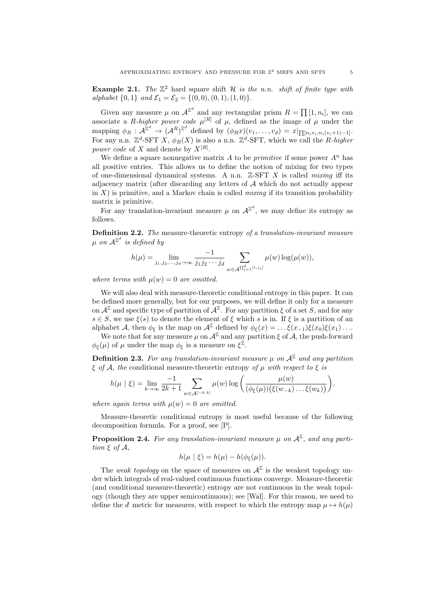**Example 2.1.** The  $\mathbb{Z}^2$  hard square shift H is the n.n. shift of finite type with alphabet  $\{0, 1\}$  and  $\mathcal{E}_1 = \mathcal{E}_2 = \{(0, 0), (0, 1), (1, 0)\}.$ 

Given any measure  $\mu$  on  $\mathcal{A}^{\mathbb{Z}^d}$  and any rectangular prism  $R = \prod [1, n_i]$ , we can associate a R-higher power code  $\mu^{[R]}$  of  $\mu$ , defined as the image of  $\mu$  under the mapping  $\phi_R : \mathcal{A}^{\mathbb{Z}^d} \to (\mathcal{A}^R)^{\mathbb{Z}^d}$  defined by  $(\phi_R x)(v_1, \dots, v_d) = x|_{\prod [n_i v_i, n_i(v_i+1)-1]}$ . For any n.n.  $\mathbb{Z}^d$ -SFT X,  $\phi_R(X)$  is also a n.n.  $\mathbb{Z}^d$ -SFT, which we call the R-higher power code of X and denote by  $X^{[R]}$ .

We define a square nonnegative matrix A to be *primitive* if some power  $A^n$  has all positive entries. This allows us to define the notion of mixing for two types of one-dimensional dynamical systems. A n.n.  $\mathbb{Z}$ -SFT X is called *mixing* iff its adjacency matrix (after discarding any letters of A which do not actually appear in  $X$ ) is primitive, and a Markov chain is called *mixing* if its transition probability matrix is primitive.

For any translation-invariant measure  $\mu$  on  $\mathcal{A}^{\mathbb{Z}^d}$ , we may define its entropy as follows.

Definition 2.2. The measure-theoretic entropy of a translation-invariant measure  $\mu$  on  $\mathcal{A}^{\mathbb{Z}^d}$  is defined by

$$
h(\mu) = \lim_{j_1, j_2, \dots, j_d \to \infty} \frac{-1}{j_1 j_2 \cdots j_d} \sum_{w \in \mathcal{A}^{\prod_{i=1}^d [1, j_i]}} \mu(w) \log(\mu(w)),
$$

where terms with  $\mu(w) = 0$  are omitted.

We will also deal with measure-theoretic conditional entropy in this paper. It can be defined more generally, but for our purposes, we will define it only for a measure on  $\mathcal{A}^{\mathbb{Z}}$  and specific type of partition of  $\mathcal{A}^{\mathbb{Z}}$ . For any partition  $\xi$  of a set S, and for any  $s \in S$ , we use  $\xi(s)$  to denote the element of  $\xi$  which s is in. If  $\xi$  is a partition of an alphabet A, then  $\phi_{\xi}$  is the map on  $\mathcal{A}^{\mathbb{Z}}$  defined by  $\phi_{\xi}(x) = \ldots \xi(x-1)\xi(x_0)\xi(x_1)\ldots$ 

We note that for any measure  $\mu$  on  $\mathcal{A}^{\mathbb{Z}}$  and any partition  $\xi$  of  $\mathcal{A}$ , the push-forward  $\phi_{\xi}(\mu)$  of  $\mu$  under the map  $\phi_{\xi}$  is a measure on  $\xi^{\mathbb{Z}}$ .

**Definition 2.3.** For any translation-invariant measure  $\mu$  on  $\mathcal{A}^{\mathbb{Z}}$  and any partition  $\xi$  of A, the conditional measure-theoretic entropy of  $\mu$  with respect to  $\xi$  is

$$
h(\mu \mid \xi) = \lim_{k \to \infty} \frac{-1}{2k+1} \sum_{w \in \mathcal{A}^{[-k,k]}} \mu(w) \log \left( \frac{\mu(w)}{(\phi_{\xi}(\mu))(\xi(w_{-k}) \dots \xi(w_k))} \right),
$$

where again terms with  $\mu(w) = 0$  are omitted.

Measure-theoretic conditional entropy is most useful because of the following decomposition formula. For a proof, see [P].

**Proposition 2.4.** For any translation-invariant measure  $\mu$  on  $\mathcal{A}^{\mathbb{Z}}$ , and any partition  $\xi$  of  $\mathcal{A}$ ,

$$
h(\mu \mid \xi) = h(\mu) - h(\phi_{\xi}(\mu)).
$$

The weak topology on the space of measures on  $\mathcal{A}^{\mathbb{Z}}$  is the weakest topology under which integrals of real-valued continuous functions converge. Measure-theoretic (and conditional measure-theoretic) entropy are not continuous in the weak topology (though they are upper semicontinuous); see [Wal]. For this reason, we need to define the d<sup> $d$ </sup> metric for measures, with respect to which the entropy map  $\mu \mapsto h(\mu)$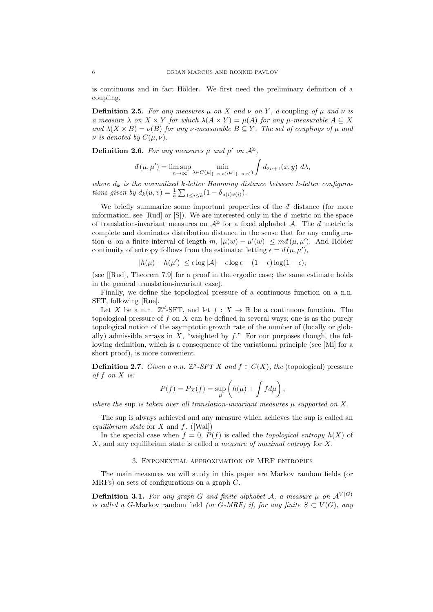is continuous and in fact Hölder. We first need the preliminary definition of a coupling.

**Definition 2.5.** For any measures  $\mu$  on X and  $\nu$  on Y, a coupling of  $\mu$  and  $\nu$  is a measure  $\lambda$  on  $X \times Y$  for which  $\lambda(A \times Y) = \mu(A)$  for any  $\mu$ -measurable  $A \subseteq X$ and  $\lambda(X \times B) = \nu(B)$  for any v-measurable  $B \subseteq Y$ . The set of couplings of  $\mu$  and  $\nu$  is denoted by  $C(\mu, \nu)$ .

**Definition 2.6.** For any measures  $\mu$  and  $\mu'$  on  $\mathcal{A}^{\mathbb{Z}}$ ,

$$
d(\mu, \mu') = \limsup_{n \to \infty} \min_{\lambda \in C(\mu|_{[-n,n]}, \mu'|_{[-n,n]})} \int d_{2n+1}(x, y) \, d\lambda,
$$

where  $d_k$  is the normalized k-letter Hamming distance between k-letter configurations given by  $d_k(u, v) = \frac{1}{k} \sum_{1 \leq i \leq k} (1 - \delta_{u(i)v(i)})$ .

We briefly summarize some important properties of the  $d$  distance (for more information, see [Rud] or [S]). We are interested only in the  $d$  metric on the space of translation-invariant measures on  $\mathcal{A}^{\mathbb{Z}}$  for a fixed alphabet  $\mathcal{A}$ . The  $d$  metric is complete and dominates distribution distance in the sense that for any configuration w on a finite interval of length m,  $|\mu(w) - \mu'(w)| \leq m d(\mu, \mu')$ . And Hölder continuity of entropy follows from the estimate: letting  $\epsilon = d(\mu, \mu')$ ,

$$
|h(\mu) - h(\mu')| \le \epsilon \log |\mathcal{A}| - \epsilon \log \epsilon - (1 - \epsilon) \log (1 - \epsilon);
$$

(see [[Rud], Theorem 7.9] for a proof in the ergodic case; the same estimate holds in the general translation-invariant case).

Finally, we define the topological pressure of a continuous function on a n.n. SFT, following [Rue].

Let X be a n.n.  $\mathbb{Z}^d$ -SFT, and let  $f: X \to \mathbb{R}$  be a continuous function. The topological pressure of f on X can be defined in several ways; one is as the purely topological notion of the asymptotic growth rate of the number of (locally or globally) admissible arrays in X, "weighted by  $f$ ." For our purposes though, the following definition, which is a consequence of the variational principle (see [Mi] for a short proof), is more convenient.

**Definition 2.7.** Given a n.n.  $\mathbb{Z}^d$ -SFT X and  $f \in C(X)$ , the (topological) pressure of f on X is:

$$
P(f) = P_X(f) = \sup_{\mu} \left( h(\mu) + \int f d\mu \right),
$$

where the sup is taken over all translation-invariant measures  $\mu$  supported on X.

The sup is always achieved and any measure which achieves the sup is called an equilibrium state for X and f.  $([Wal])$ 

In the special case when  $f = 0$ ,  $P(f)$  is called the *topological entropy*  $h(X)$  of  $X$ , and any equilibrium state is called a *measure of maximal entropy* for  $X$ .

## 3. Exponential approximation of MRF entropies

The main measures we will study in this paper are Markov random fields (or MRFs) on sets of configurations on a graph G.

**Definition 3.1.** For any graph G and finite alphabet A, a measure  $\mu$  on  $\mathcal{A}^{V(G)}$ is called a G-Markov random field (or G-MRF) if, for any finite  $S \subset V(G)$ , any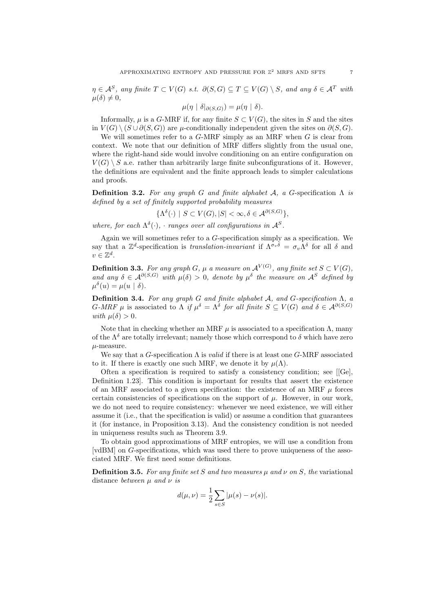$\eta \in \mathcal{A}^S$ , any finite  $T \subset V(G)$  s.t.  $\partial(S, G) \subseteq T \subseteq V(G) \setminus S$ , and any  $\delta \in \mathcal{A}^T$  with  $\mu(\delta) \neq 0$ ,

$$
\mu(\eta \mid \delta|_{\partial(S,G)}) = \mu(\eta \mid \delta).
$$

Informally,  $\mu$  is a G-MRF if, for any finite  $S \subset V(G)$ , the sites in S and the sites in  $V(G) \setminus (S \cup \partial(S, G))$  are  $\mu$ -conditionally independent given the sites on  $\partial(S, G)$ .

We will sometimes refer to a  $G$ -MRF simply as an MRF when  $G$  is clear from context. We note that our definition of MRF differs slightly from the usual one, where the right-hand side would involve conditioning on an entire configuration on  $V(G) \setminus S$  a.e. rather than arbitrarily large finite subconfigurations of it. However, the definitions are equivalent and the finite approach leads to simpler calculations and proofs.

**Definition 3.2.** For any graph G and finite alphabet A, a G-specification  $\Lambda$  is defined by a set of finitely supported probability measures

$$
\{\Lambda^{\delta}(\cdot) \mid S \subset V(G), |S| < \infty, \delta \in \mathcal{A}^{\partial(S,G)}\},\
$$

where, for each  $\Lambda^{\delta}(\cdot)$ , · ranges over all configurations in  $\mathcal{A}^{S}$ .

Again we will sometimes refer to a G-specification simply as a specification. We say that a  $\mathbb{Z}^d$ -specification is *translation-invariant* if  $\Lambda^{\sigma_v\delta} = \sigma_v\Lambda^{\delta}$  for all  $\delta$  and  $v \in \mathbb{Z}^d$ .

**Definition 3.3.** For any graph G,  $\mu$  a measure on  $\mathcal{A}^{V(G)}$ , any finite set  $S \subset V(G)$ , and any  $\delta \in \mathcal{A}^{\partial(S,G)}$  with  $\mu(\delta) > 0$ , denote by  $\mu^{\delta}$  the measure on  $\mathcal{A}^S$  defined by  $\mu^{\delta}(u) = \mu(u \mid \delta).$ 

Definition 3.4. For any graph G and finite alphabet A, and G-specification  $\Lambda$ , a  $G\text{-}MRF \mu$  is associated to  $\Lambda$  if  $\mu^{\delta} = \Lambda^{\delta}$  for all finite  $S \subseteq V(G)$  and  $\delta \in \mathcal{A}^{\partial(S,G)}$ with  $\mu(\delta) > 0$ .

Note that in checking whether an MRF  $\mu$  is associated to a specification  $\Lambda$ , many of the  $\Lambda^{\delta}$  are totally irrelevant; namely those which correspond to  $\delta$  which have zero  $\mu$ -measure.

We say that a G-specification  $\Lambda$  is *valid* if there is at least one G-MRF associated to it. If there is exactly one such MRF, we denote it by  $\mu(\Lambda)$ .

Often a specification is required to satisfy a consistency condition; see [[Ge], Definition 1.23]. This condition is important for results that assert the existence of an MRF associated to a given specification: the existence of an MRF  $\mu$  forces certain consistencies of specifications on the support of  $\mu$ . However, in our work, we do not need to require consistency: whenever we need existence, we will either assume it (i.e., that the specification is valid) or assume a condition that guarantees it (for instance, in Proposition 3.13). And the consistency condition is not needed in uniqueness results such as Theorem 3.9.

To obtain good approximations of MRF entropies, we will use a condition from [vdBM] on G-specifications, which was used there to prove uniqueness of the associated MRF. We first need some definitions.

**Definition 3.5.** For any finite set S and two measures  $\mu$  and  $\nu$  on S, the variational distance between  $\mu$  and  $\nu$  is

$$
d(\mu,\nu)=\frac{1}{2}\sum_{s\in S}|\mu(s)-\nu(s)|.
$$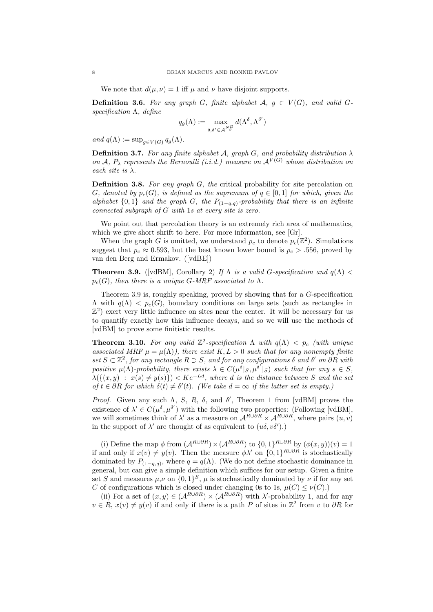We note that  $d(\mu, \nu) = 1$  iff  $\mu$  and  $\nu$  have disjoint supports.

**Definition 3.6.** For any graph G, finite alphabet  $A, g \in V(G)$ , and valid Gspecification  $\Lambda$ , define

$$
q_g(\Lambda):=\max_{\delta,\delta'\in{\cal A}^N_g^G}d(\Lambda^\delta,\Lambda^{\delta'})
$$

and  $q(\Lambda) := \sup_{g \in V(G)} q_g(\Lambda)$ .

**Definition 3.7.** For any finite alphabet A, graph G, and probability distribution  $\lambda$ on A,  $P_{\lambda}$  represents the Bernoulli (i.i.d.) measure on  $\mathcal{A}^{V(G)}$  whose distribution on each site is  $\lambda$ .

**Definition 3.8.** For any graph  $G$ , the critical probability for site percolation on G, denoted by  $p_c(G)$ , is defined as the supremum of  $q \in [0,1]$  for which, given the alphabet  $\{0,1\}$  and the graph G, the  $P_{(1-q,q)}$ -probability that there is an infinite connected subgraph of G with 1s at every site is zero.

We point out that percolation theory is an extremely rich area of mathematics, which we give short shrift to here. For more information, see [Gr].

When the graph G is omitted, we understand  $p_c$  to denote  $p_c(\mathbb{Z}^2)$ . Simulations suggest that  $p_c \approx 0.593$ , but the best known lower bound is  $p_c > .556$ , proved by van den Berg and Ermakov. ([vdBE])

**Theorem 3.9.** ([vdBM], Corollary 2) If  $\Lambda$  is a valid G-specification and  $q(\Lambda)$  <  $p_c(G)$ , then there is a unique G-MRF associated to  $\Lambda$ .

Theorem 3.9 is, roughly speaking, proved by showing that for a G-specification  $\Lambda$  with  $q(\Lambda) < p_c(G)$ , boundary conditions on large sets (such as rectangles in  $\mathbb{Z}^2$ ) exert very little influence on sites near the center. It will be necessary for us to quantify exactly how this influence decays, and so we will use the methods of [vdBM] to prove some finitistic results.

**Theorem 3.10.** For any valid  $\mathbb{Z}^2$ -specification  $\Lambda$  with  $q(\Lambda) < p_c$  (with unique associated MRF  $\mu = \mu(\Lambda)$ , there exist  $K, L > 0$  such that for any nonempty finite set  $S \subset \mathbb{Z}^2$ , for any rectangle  $R \supset S$ , and for any configurations  $\delta$  and  $\delta'$  on  $\partial R$  with positive  $\mu(\Lambda)$ -probability, there exists  $\lambda \in C(\mu^{\delta}|_S, \mu^{\delta'}|_S)$  such that for any  $s \in S$ ,  $\lambda({(x,y) : x(s) \neq y(s)}) < Ke^{-Ld}$ , where d is the distance between S and the set of  $t \in \partial R$  for which  $\delta(t) \neq \delta'(t)$ . (We take  $d = \infty$  if the latter set is empty.)

Proof. Given any such  $\Lambda$ , S, R,  $\delta$ , and  $\delta'$ , Theorem 1 from [vdBM] proves the existence of  $\lambda' \in C(\mu^{\delta}, \mu^{\delta'})$  with the following two properties: (Following [vdBM], we will sometimes think of  $\lambda'$  as a measure on  $\mathcal{A}^{R\cup\partial R}\times\mathcal{A}^{R\cup\partial R}$ , where pairs  $(u, v)$ in the support of  $\lambda'$  are thought of as equivalent to  $(u\delta, v\delta')$ .

(i) Define the map  $\phi$  from  $(A^{R\cup\partial R})\times (A^{R\cup\partial R})$  to  $\{0,1\}^{R\cup\partial R}$  by  $(\phi(x,y))(v)=1$ if and only if  $x(v) \neq y(v)$ . Then the measure  $\phi \lambda'$  on  $\{0,1\}^{R \cup \partial R}$  is stochastically dominated by  $P_{(1-q,q)}$ , where  $q = q(\Lambda)$ . (We do not define stochastic dominance in general, but can give a simple definition which suffices for our setup. Given a finite set S and measures  $\mu, \nu$  on  $\{0, 1\}^S$ ,  $\mu$  is stochastically dominated by  $\nu$  if for any set C of configurations which is closed under changing 0s to 1s,  $\mu(C) \leq \nu(C)$ .)

(ii) For a set of  $(x, y) \in (A^{R \cup \partial R}) \times (A^{R \cup \partial R})$  with  $\lambda'$ -probability 1, and for any  $v \in R$ ,  $x(v) \neq y(v)$  if and only if there is a path P of sites in  $\mathbb{Z}^2$  from v to  $\partial R$  for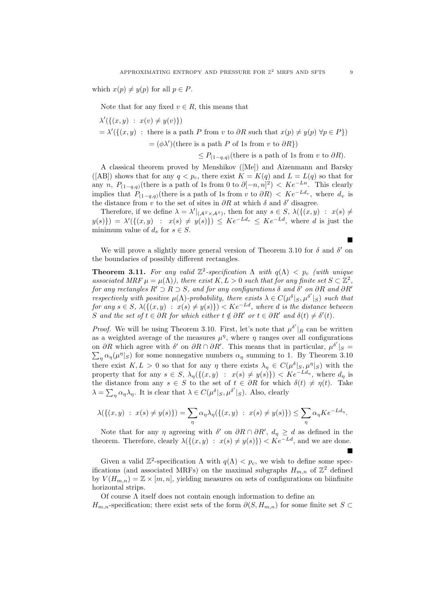which  $x(p) \neq y(p)$  for all  $p \in P$ .

Note that for any fixed  $v \in R$ , this means that

$$
\lambda'(\{(x, y) : x(v) \neq y(v)\})
$$
  
=  $\lambda'(\{(x, y) : \text{there is a path } P \text{ from } v \text{ to } \partial R \text{ such that } x(p) \neq y(p) \forall p \in P\})$   
=  $(\phi \lambda')(\text{there is a path } P \text{ of 1s from } v \text{ to } \partial R\})$ 

 $\leq P_{(1-a,q)}$ (there is a path of 1s from v to  $\partial R$ ).

A classical theorem proved by Menshikov ([Me]) and Aizenmann and Barsky ([AB]) shows that for any  $q < p_c$ , there exist  $K = K(q)$  and  $L = L(q)$  so that for any n,  $P_{(1-q,q)}$ (there is a path of 1s from 0 to  $\partial [-n,n]^2$ ) <  $Ke^{-Ln}$ . This clearly implies that  $P_{(1-q,q)}$ (there is a path of 1s from v to  $\partial R$ ) <  $Ke^{-Ld_v}$ , where  $d_v$  is the distance from v to the set of sites in  $\partial R$  at which  $\delta$  and  $\delta'$  disagree.

Therefore, if we define  $\lambda = \lambda' |_{(\mathcal{A}^S \times \mathcal{A}^S)}$ , then for any  $s \in S$ ,  $\lambda(\{(x, y) : x(s) \neq \emptyset\})$  $y(s)$ } =  $\lambda'(\{(x,y) : x(s) \neq y(s)\}) \leq Ke^{-Ld_s} \leq Ke^{-Ld}$ , where d is just the minimum value of  $d_s$  for  $s \in S$ .

We will prove a slightly more general version of Theorem 3.10 for  $\delta$  and  $\delta'$  on the boundaries of possibly different rectangles.

**Theorem 3.11.** For any valid  $\mathbb{Z}^2$ -specification  $\Lambda$  with  $q(\Lambda) < p_c$  (with unique associated MRF  $\mu = \mu(\Lambda)$ , there exist  $K, L > 0$  such that for any finite set  $S \subset \mathbb{Z}^2$ , for any rectangles  $R' \supset R \supset S$ , and for any configurations  $\delta$  and  $\delta'$  on  $\partial R$  and  $\partial R'$ respectively with positive  $\mu(\Lambda)$ -probability, there exists  $\lambda \in C(\mu^{\delta}|_S, \mu^{\delta'}|_S)$  such that for any  $s \in S$ ,  $\lambda({(x,y) : x(s) \neq y(s)}) < Ke^{-Ld}$ , where d is the distance between S and the set of  $t \in \partial R$  for which either  $t \notin \partial R'$  or  $t \in \partial R'$  and  $\delta(t) \neq \delta'(t)$ .

*Proof.* We will be using Theorem 3.10. First, let's note that  $\mu^{\delta'}|_{R}$  can be written as a weighted average of the measures  $\mu^{\eta}$ , where  $\eta$  ranges over all configurations on  $\partial R$  which agree with  $\delta'$  on  $\partial R \cap \partial R'$ . This means that in particular,  $\mu^{\delta'}|_{S} =$  $\sum_{\eta} \alpha_{\eta}(\mu^{\eta}|_{S})$  for some nonnegative numbers  $\alpha_{\eta}$  summing to 1. By Theorem 3.10 there exist  $K, L > 0$  so that for any  $\eta$  there exists  $\lambda_{\eta} \in C(\mu^{\delta}|_S, \mu^{\eta}|_S)$  with the property that for any  $s \in S$ ,  $\lambda_{\eta}(\{(x, y) : x(s) \neq y(s)\}) < K e^{-L d_{\eta}}$ , where  $d_{\eta}$  is the distance from any  $s \in S$  to the set of  $t \in \partial R$  for which  $\delta(t) \neq \eta(t)$ . Take  $\lambda = \sum_{\eta} \alpha_{\eta} \lambda_{\eta}$ . It is clear that  $\lambda \in C(\mu^{\delta} | S, \mu^{\delta'} | S)$ . Also, clearly

$$
\lambda(\{(x,y) \; : \; x(s) \neq y(s)\}) = \sum_{\eta} \alpha_{\eta} \lambda_{\eta}(\{(x,y) \; : \; x(s) \neq y(s)\}) \leq \sum_{\eta} \alpha_{\eta} K e^{-Ld_{\eta}}.
$$

Note that for any  $\eta$  agreeing with  $\delta'$  on  $\partial R \cap \partial R'$ ,  $d_{\eta} \geq d$  as defined in the theorem. Therefore, clearly  $\lambda({(x,y) : x(s) \neq y(s)}) < K e^{-Ld}$ , and we are done.  $\blacksquare$ 

Given a valid  $\mathbb{Z}^2$ -specification  $\Lambda$  with  $q(\Lambda) < p_c$ , we wish to define some specifications (and associated MRFs) on the maximal subgraphs  $H_{m,n}$  of  $\mathbb{Z}^2$  defined by  $V(H_{m,n}) = \mathbb{Z} \times [m,n]$ , yielding measures on sets of configurations on biinfinite horizontal strips.

Of course  $\Lambda$  itself does not contain enough information to define an

 $H_{m,n}$ -specification; there exist sets of the form  $\partial(S, H_{m,n})$  for some finite set S

 $\blacksquare$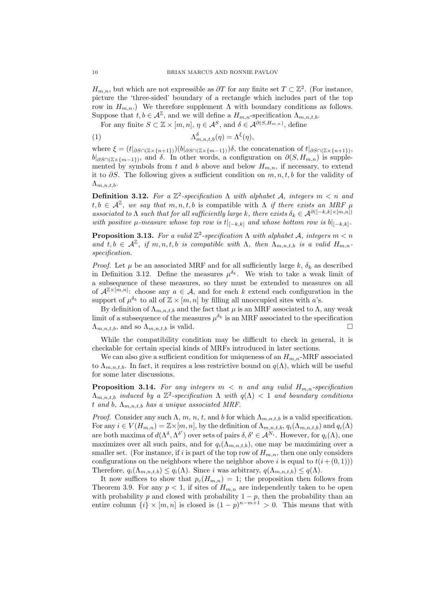$H_{m,n}$ , but which are not expressible as  $\partial T$  for any finite set  $T \subset \mathbb{Z}^2$ . (For instance, picture the 'three-sided' boundary of a rectangle which includes part of the top row in  $H_{m,n}$ .) We therefore supplement Λ with boundary conditions as follows. Suppose that  $t, b \in \mathcal{A}^{\mathbb{Z}}$ , and we will define a  $H_{m,n}$ -specification  $\Lambda_{m,n,t,b}$ .

For any finite  $S \subset \mathbb{Z} \times [m,n], \eta \in \mathcal{A}^{S}$ , and  $\delta \in \mathcal{A}^{\partial(S,H_{m,n})}$ , define

(1) 
$$
\Lambda_{m,n,t,b}^{\delta}(\eta) = \Lambda^{\xi}(\eta),
$$

where  $\xi = (t|_{\partial S \cap (\mathbb{Z} \times \{n+1\})})(b|_{\partial S \cap (\mathbb{Z} \times \{m-1\})})\delta$ , the concatenation of  $t|_{\partial S \cap (\mathbb{Z} \times \{n+1\})}$ ,  $b|_{\partial S \cap (\mathbb{Z} \times \{m-1\})}$ , and  $\delta$ . In other words, a configuration on  $\partial(S, H_{m,n})$  is supplemented by symbols from t and b above and below  $H_{m,n}$ , if necessary, to extend it to  $\partial S$ . The following gives a sufficient condition on  $m, n, t, b$  for the validity of  $\Lambda_{m,n,t,b}.$ 

**Definition 3.12.** For a  $\mathbb{Z}^2$ -specification  $\Lambda$  with alphabet  $\mathcal{A}$ , integers  $m < n$  and  $t, b \in \mathcal{A}^{\mathbb{Z}}$ , we say that  $m, n, t, b$  is compatible with  $\Lambda$  if there exists an MRF  $\mu$ associated to  $\Lambda$  such that for all sufficiently large k, there exists  $\delta_k \in \mathcal{A}^{\partial([-k,k] \times [m,n])}$ with positive  $\mu$ -measure whose top row is  $t|_{[-k,k]}$  and whose bottom row is  $b|_{[-k,k]}$ .

**Proposition 3.13.** For a valid  $\mathbb{Z}^2$ -specification  $\Lambda$  with alphabet A, integers  $m < n$ and  $t, b \in \mathcal{A}^{\mathbb{Z}}$ , if  $m, n, t, b$  is compatible with  $\Lambda$ , then  $\Lambda_{m,n,t,b}$  is a valid  $H_{m,n}$ . specification.

*Proof.* Let  $\mu$  be an associated MRF and for all sufficiently large k,  $\delta_k$  as described in Definition 3.12. Define the measures  $\mu^{\delta_k}$ . We wish to take a weak limit of a subsequence of these measures, so they must be extended to measures on all of  $\mathcal{A}^{\mathbb{Z}\times [m,n]}$ : choose any  $a \in \mathcal{A}$ , and for each k extend each configuration in the support of  $\mu^{\delta_k}$  to all of  $\mathbb{Z} \times [m,n]$  by filling all unoccupied sites with a's.

By definition of  $\Lambda_{m,n,t,b}$  and the fact that  $\mu$  is an MRF associated to  $\Lambda$ , any weak limit of a subsequence of the measures  $\mu^{\delta_k}$  is an MRF associated to the specification  $\Lambda_{m,n,t,b}$ , and so  $\Lambda_{m,n,t,b}$  is valid.

While the compatibility condition may be difficult to check in general, it is checkable for certain special kinds of MRFs introduced in later sections.

We can also give a sufficient condition for uniqueness of an  $H_{m,n}$ -MRF associated to  $\Lambda_{m,n,t,b}$ . In fact, it requires a less restrictive bound on  $q(\Lambda)$ , which will be useful for some later discussions.

**Proposition 3.14.** For any integers  $m < n$  and any valid  $H_{m,n}$ -specification  $\Lambda_{m,n,t,b}$  induced by a  $\mathbb{Z}^2$ -specification  $\Lambda$  with  $q(\Lambda) < 1$  and boundary conditions t and b,  $\Lambda_{m,n,t,b}$  has a unique associated MRF.

*Proof.* Consider any such  $\Lambda$ ,  $m$ ,  $n$ ,  $t$ , and  $b$  for which  $\Lambda_{m,n,t,b}$  is a valid specification. For any  $i \in V(H_{m,n}) = \mathbb{Z}\times[m,n]$ , by the definition of  $\Lambda_{m,n,t,b}$ ,  $q_i(\Lambda_{m,n,t,b})$  and  $q_i(\Lambda)$ are both maxima of  $d(\Lambda^{\delta}, \Lambda^{\delta'})$  over sets of pairs  $\delta, \delta' \in \mathcal{A}^{N_i}$ . However, for  $q_i(\Lambda)$ , one maximizes over all such pairs, and for  $q_i(\Lambda_{m,n,t,b})$ , one may be maximizing over a smaller set. (For instance, if i is part of the top row of  $H_{m,n}$ , then one only considers configurations on the neighbors where the neighbor above i is equal to  $t(i + (0, 1))$ Therefore,  $q_i(\Lambda_{m,n,t,b}) \leq q_i(\Lambda)$ . Since i was arbitrary,  $q(\Lambda_{m,n,t,b}) \leq q(\Lambda)$ .

It now suffices to show that  $p_c(H_{m,n}) = 1$ ; the proposition then follows from Theorem 3.9. For any  $p < 1$ , if sites of  $H_{m,n}$  are independently taken to be open with probability p and closed with probability  $1 - p$ , then the probability than an entire column  $\{i\} \times [m,n]$  is closed is  $(1-p)^{n-m+1} > 0$ . This means that with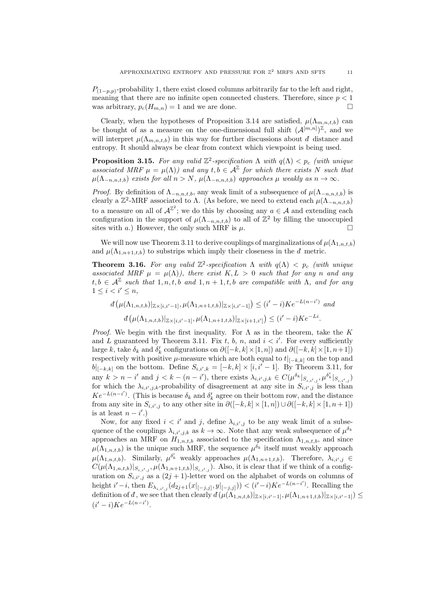$P_{(1-p,p)}$ -probability 1, there exist closed columns arbitrarily far to the left and right, meaning that there are no infinite open connected clusters. Therefore, since  $p < 1$ was arbitrary,  $p_c(H_{m,n}) = 1$  and we are done.

Clearly, when the hypotheses of Proposition 3.14 are satisfied,  $\mu(\Lambda_{m,n,t,b})$  can be thought of as a measure on the one-dimensional full shift  $(\mathcal{A}^{[m,n]})^{\mathbb{Z}}$ , and we will interpret  $\mu(\Lambda_{m,n,t,b})$  in this way for further discussions about d distance and entropy. It should always be clear from context which viewpoint is being used.

**Proposition 3.15.** For any valid  $\mathbb{Z}^2$ -specification  $\Lambda$  with  $q(\Lambda) < p_c$  (with unique associated MRF  $\mu = \mu(\Lambda)$  and any  $t, b \in \mathcal{A}^{\mathbb{Z}}$  for which there exists N such that  $\mu(\Lambda_{-n,n,t,b})$  exists for all  $n > N$ ,  $\mu(\Lambda_{-n,n,t,b})$  approaches  $\mu$  weakly as  $n \to \infty$ .

*Proof.* By definition of  $\Lambda_{-n,n,t,b}$ , any weak limit of a subsequence of  $\mu(\Lambda_{-n,n,t,b})$  is clearly a  $\mathbb{Z}^2$ -MRF associated to  $\Lambda$ . (As before, we need to extend each  $\mu(\Lambda_{-n,n,t,b})$ to a measure on all of  $\mathcal{A}^{\mathbb{Z}^2}$ ; we do this by choosing any  $a \in \mathcal{A}$  and extending each configuration in the support of  $\mu(\Lambda_{-n,n,t,b})$  to all of  $\mathbb{Z}^2$  by filling the unoccupied sites with a.) However, the only such MRF is  $\mu$ .

We will now use Theorem 3.11 to derive couplings of marginalizations of  $\mu(\Lambda_{1,n,t,b})$ and  $\mu(\Lambda_{1,n+1,t,b})$  to substrips which imply their closeness in the  $d$  metric.

**Theorem 3.16.** For any valid  $\mathbb{Z}^2$ -specification  $\Lambda$  with  $q(\Lambda) < p_c$  (with unique associated MRF  $\mu = \mu(\Lambda)$ , there exist  $K, L > 0$  such that for any n and any  $t, b \in \mathcal{A}^{\mathbb{Z}}$  such that  $1, n, t, b$  and  $1, n + 1, t, b$  are compatible with  $\Lambda$ , and for any  $1 \leq i < i' \leq n$ ,

$$
d\left(\mu(\Lambda_{1,n,t,b})|_{\mathbb{Z}\times[i,i'-1]},\mu(\Lambda_{1,n+1,t,b})|_{\mathbb{Z}\times[i,i'-1]}\right) \leq (i'-i)Ke^{-L(n-i')} \text{ and}
$$
  

$$
d\left(\mu(\Lambda_{1,n,t,b})|_{\mathbb{Z}\times[i,i'-1]},\mu(\Lambda_{1,n+1,t,b})|_{\mathbb{Z}\times[i+1,i']}\right) \leq (i'-i)Ke^{-Li}.
$$

*Proof.* We begin with the first inequality. For  $\Lambda$  as in the theorem, take the K and L guaranteed by Theorem 3.11. Fix t, b, n, and  $i < i'$ . For every sufficiently large k, take  $\delta_k$  and  $\delta'_k$  configurations on  $\partial([-k,k] \times [1,n])$  and  $\partial([-k,k] \times [1,n+1])$ respectively with positive  $\mu$ -measure which are both equal to  $t|_{[-k,k]}$  on the top and  $b|_{[-k,k]}$  on the bottom. Define  $S_{i,i',k} = [-k,k] \times [i,i'-1]$ . By Theorem 3.11, for any  $k > n - i'$  and  $j < k - (n - i')$ , there exists  $\lambda_{i,i',j,k} \in C(\mu^{\delta_k}|_{S_{i,i',j}}, \mu^{\delta'_k}|_{S_{i,i',j}})$ for which the  $\lambda_{i,i',j,k}$ -probability of disagreement at any site in  $S_{i,i',j}$  is less than  $Ke^{-L(n-i')}$ . (This is because  $\delta_k$  and  $\delta'_k$  agree on their bottom row, and the distance from any site in  $S_{i,i',j}$  to any other site in  $\partial([-k,k] \times [1,n]) \cup \partial([-k,k] \times [1,n+1])$ is at least  $n - i'$ .)

Now, for any fixed  $i < i'$  and j, define  $\lambda_{i,i',j}$  to be any weak limit of a subsequence of the couplings  $\lambda_{i,i',j,k}$  as  $k \to \infty$ . Note that any weak subsequence of  $\mu^{\delta_k}$ approaches an MRF on  $H_{1,n,t,b}$  associated to the specification  $\Lambda_{1,n,t,b}$ , and since  $\mu(\Lambda_{1,n,t,b})$  is the unique such MRF, the sequence  $\mu^{\delta_k}$  itself must weakly approach  $\mu(\Lambda_{1,n,t,b})$ . Similarly,  $\mu^{\delta'_{k}}$  weakly approaches  $\mu(\Lambda_{1,n+1,t,b})$ . Therefore,  $\lambda_{i,i',j} \in$  $C(\mu(\Lambda_{1,n,t,b})|_{S_{i,i',j}}, \mu(\Lambda_{1,n+1,t,b})|_{S_{i,i',j}})$ . Also, it is clear that if we think of a configuration on  $S_{i,i',j}$  as a  $(2j + 1)$ -letter word on the alphabet of words on columns of height  $i'-i$ , then  $E_{\lambda_{i,i',j}}(d_{2j+1}(x|_{[-j,j]},y|_{[-j,j]})) < (i'-i)Ke^{-L(n-i')}$ . Recalling the definition of d, we see that then clearly  $d(\mu(\Lambda_{1,n,t,b})|_{\mathbb{Z}\times[i,i'-1]}, \mu(\Lambda_{1,n+1,t,b})|_{\mathbb{Z}\times[i,i'-1]}) \leq$  $(i'-i)Ke^{-L(n-i')}$ .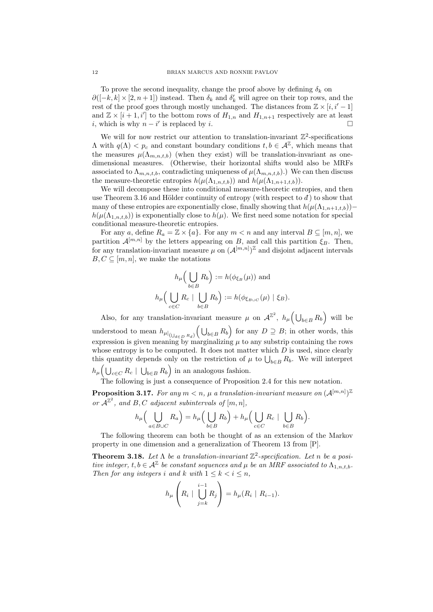To prove the second inequality, change the proof above by defining  $\delta_k$  on  $\partial([-k,k] \times [2,n+1])$  instead. Then  $\delta_k$  and  $\delta'_k$  will agree on their top rows, and the rest of the proof goes through mostly unchanged. The distances from  $\mathbb{Z} \times [i, i'-1]$ and  $\mathbb{Z} \times [i+1, i']$  to the bottom rows of  $H_{1,n}$  and  $H_{1,n+1}$  respectively are at least i, which is why  $n - i'$  is replaced by i.

We will for now restrict our attention to translation-invariant  $\mathbb{Z}^2$ -specifications  $\Lambda$  with  $q(\Lambda) < p_c$  and constant boundary conditions  $t, b \in \mathcal{A}^{\mathbb{Z}}$ , which means that the measures  $\mu(\Lambda_{m,n,t,b})$  (when they exist) will be translation-invariant as onedimensional measures. (Otherwise, their horizontal shifts would also be MRFs associated to  $\Lambda_{m,n,t,b}$ , contradicting uniqueness of  $\mu(\Lambda_{m,n,t,b})$ .) We can then discuss the measure-theoretic entropies  $h(\mu(\Lambda_{1,n,t,b}))$  and  $h(\mu(\Lambda_{1,n+1,t,b}))$ .

We will decompose these into conditional measure-theoretic entropies, and then use Theorem 3.16 and Hölder continuity of entropy (with respect to  $\vec{d}$ ) to show that many of these entropies are exponentially close, finally showing that  $h(\mu(\Lambda_{1,n+1,t}))$  $h(\mu(\Lambda_{1,n,t,b}))$  is exponentially close to  $h(\mu)$ . We first need some notation for special conditional measure-theoretic entropies.

For any a, define  $R_a = \mathbb{Z} \times \{a\}$ . For any  $m < n$  and any interval  $B \subseteq [m, n]$ , we partition  $\mathcal{A}^{[m,n]}$  by the letters appearing on B, and call this partition  $\xi_B$ . Then, for any translation-invariant measure  $\mu$  on  $(\mathcal{A}^{[m,n]})^{\mathbb{Z}}$  and disjoint adjacent intervals  $B, C \subseteq [m, n]$ , we make the notations

$$
h_{\mu}\Big(\bigcup_{b\in B} R_b\Big) := h(\phi_{\xi_B}(\mu)) \text{ and}
$$
  

$$
h_{\mu}\Big(\bigcup_{c\in C} R_c \mid \bigcup_{b\in B} R_b\Big) := h(\phi_{\xi_{B\cup C}}(\mu) \mid \xi_B).
$$

Also, for any translation-invariant measure  $\mu$  on  $\mathcal{A}^{\mathbb{Z}^2}$ ,  $h_{\mu}(\bigcup_{b\in B} R_b)$  will be understood to mean  $h_{\mu|_{(\bigcup_{d\in D} R_d)}}(\bigcup_{b\in B} R_b)$  for any  $D \supseteq B$ ; in other words, this expression is given meaning by marginalizing  $\mu$  to any substrip containing the rows whose entropy is to be computed. It does not matter which  $D$  is used, since clearly this quantity depends only on the restriction of  $\mu$  to  $\bigcup_{b \in B} R_b$ . We will interpret  $h_\mu\Big(\bigcup_{c\in C} R_c \mid \bigcup_{b\in B} R_b\Big)$  in an analogous fashion.

The following is just a consequence of Proposition 2.4 for this new notation.

**Proposition 3.17.** For any  $m < n$ ,  $\mu$  a translation-invariant measure on  $(A^{[m,n]})^{\mathbb{Z}}$ or  $\mathcal{A}^{\mathbb{Z}^2}$ , and B, C adjacent subintervals of  $[m, n]$ ,

$$
h_{\mu}\Big(\bigcup_{a\in B\cup C}R_a\Big)=h_{\mu}\Big(\bigcup_{b\in B}R_b\Big)+h_{\mu}\Big(\bigcup_{c\in C}R_c\;|\;\bigcup_{b\in B}R_b\Big).
$$

The following theorem can both be thought of as an extension of the Markov property in one dimension and a generalization of Theorem 13 from [P].

**Theorem 3.18.** Let  $\Lambda$  be a translation-invariant  $\mathbb{Z}^2$ -specification. Let n be a positive integer,  $t, b \in A^{\mathbb{Z}}$  be constant sequences and  $\mu$  be an MRF associated to  $\Lambda_{1,n,t,b}$ . Then for any integers i and k with  $1 \leq k < i \leq n$ ,

$$
h_{\mu}\left(R_i \mid \bigcup_{j=k}^{i-1} R_j\right) = h_{\mu}(R_i \mid R_{i-1}).
$$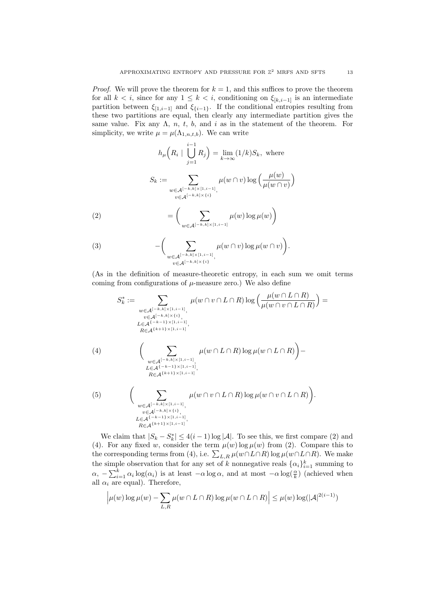*Proof.* We will prove the theorem for  $k = 1$ , and this suffices to prove the theorem for all  $k < i$ , since for any  $1 \leq k < i$ , conditioning on  $\xi_{[k,i-1]}$  is an intermediate partition between  $\xi_{[1,i-1]}$  and  $\xi_{\{i-1\}}$ . If the conditional entropies resulting from these two partitions are equal, then clearly any intermediate partition gives the same value. Fix any  $\Lambda$ , n, t, b, and i as in the statement of the theorem. For simplicity, we write  $\mu = \mu(\Lambda_{1,n,t,b})$ . We can write

$$
h_{\mu}\left(R_i \mid \bigcup_{j=1}^{i-1} R_j\right) = \lim_{k \to \infty} (1/k)S_k, \text{ where}
$$

$$
S_k := \sum_{\substack{w \in \mathcal{A}^{[-k,k] \times [1,i-1]}, \\ v \in \mathcal{A}^{[-k,k] \times \{i\}}}} \mu(w \cap v) \log\left(\frac{\mu(w)}{\mu(w \cap v)}\right)
$$

$$
= \left(\sum_{w \in \mathcal{A}^{[-k,k] \times [1,i-1]}} \mu(w) \log \mu(w)\right)
$$

(3) 
$$
-\bigg(\sum_{\substack{w\in\mathcal{A}^{[-k,k]\times[1,i-1]},\\v\in\mathcal{A}^{[-k,k]\times\{i\}}}}\mu(w\cap v)\log\mu(w\cap v)\bigg).
$$

(As in the definition of measure-theoretic entropy, in each sum we omit terms coming from configurations of  $\mu$ -measure zero.) We also define

$$
S_{k}^{*} := \sum_{\substack{w \in \mathcal{A}^{[-k,k] \times [1,i-1]}, \\ v \in \mathcal{A}^{[-k,k] \times \{i\}, \\ L \in \mathcal{A}^{(+k-1) \times [1,i-1]}, \\ R \in \mathcal{A}^{k+1} \times [1,i-1]}}} \mu(w \cap v \cap L \cap R) \log \left( \frac{\mu(w \cap L \cap R)}{\mu(w \cap v \cap L \cap R)} \right) =
$$
\n
$$
(4) \qquad \left( \sum_{\substack{w \in \mathcal{A}^{[-k,k] \times [1,i-1]}, \\ L \in \mathcal{A}^{(-k-1) \times [1,i-1]}, \\ R \in \mathcal{A}^{k+1} \times [1,i-1]}} \mu(w \cap L \cap R) \log \mu(w \cap L \cap R) \right) -
$$
\n
$$
(5) \qquad \left( \sum_{\substack{w \in \mathcal{A}^{[-k,k] \times [1,i-1]}, \\ w \in \mathcal{A}^{[-k,k] \times \{i\}}, \\ L \in \mathcal{A}^{(-k,k) \times \{i\}} \\ L \in \mathcal{A}^{(-k-1) \times [1,i-1]}, \\ R \in \mathcal{A}^{k+1} \times [1,i-1]}} \mu(w \cap v \cap L \cap R) \log \mu(w \cap v \cap L \cap R) \right).
$$

We claim that  $|S_k - S_k^*| \leq 4(i-1) \log |\mathcal{A}|$ . To see this, we first compare (2) and (4). For any fixed w, consider the term  $\mu(w) \log \mu(w)$  from (2). Compare this to the corresponding terms from (4), i.e.  $\sum_{L,R} \mu(w \cap L \cap R) \log \mu(w \cap L \cap R)$ . We make the simple observation that for any set of k nonnegative reals  $\{\alpha_i\}_{i=1}^k$  summing to  $\alpha$ ,  $-\sum_{i=1}^{k} \alpha_i \log(\alpha_i)$  is at least  $-\alpha \log \alpha$ , and at most  $-\alpha \log(\frac{\alpha}{k})$  (achieved when all  $\alpha_i$  are equal). Therefore,

$$
\left|\mu(w)\log\mu(w) - \sum_{L,R}\mu(w \cap L \cap R)\log\mu(w \cap L \cap R)\right| \le \mu(w)\log(|\mathcal{A}|^{2(i-1)})
$$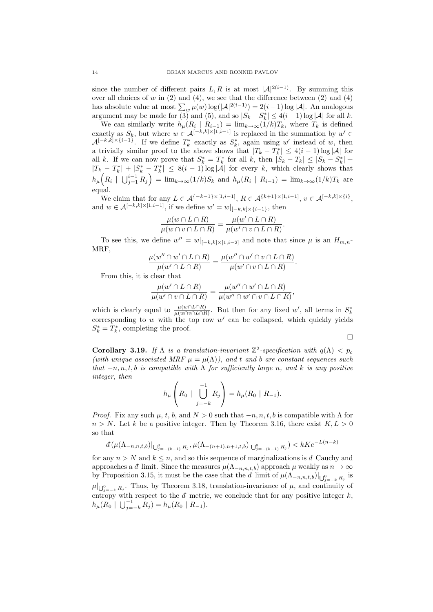since the number of different pairs L, R is at most  $|A|^{2(i-1)}$ . By summing this over all choices of  $w$  in  $(2)$  and  $(4)$ , we see that the difference between  $(2)$  and  $(4)$ has absolute value at most  $\sum_{w} \mu(w) \log(|\mathcal{A}|^{2(i-1)}) = 2(i-1) \log |\mathcal{A}|$ . An analogous argument may be made for (3) and (5), and so  $|S_k - S_k^*| \leq 4(i-1)\log |\mathcal{A}|$  for all k.

We can similarly write  $h_{\mu}(R_i \mid R_{i-1}) = \lim_{k \to \infty} (1/k)T_k$ , where  $T_k$  is defined exactly as  $S_k$ , but where  $w \in A^{[-k,k] \times [1,i-1]}$  is replaced in the summation by  $w' \in$  $\mathcal{A}^{[-k,k]\times\{i-1\}}$ . If we define  $T_k^*$  exactly as  $S_k^*$ , again using w' instead of w, then a trivially similar proof to the above shows that  $|T_k - T_k^*| \leq 4(i-1)\log |\mathcal{A}|$  for all k. If we can now prove that  $S_k^* = T_k^*$  for all k, then  $|S_k - T_k| \leq |S_k - S_k^*| +$  $|T_k - T_k^*| + |S_k^* - T_k^*| \leq 8(i-1) \log |\mathcal{A}|$  for every k, which clearly shows that  $h_{\mu}\left(R_i \mid \bigcup_{j=1}^{i-1} R_j\right) = \lim_{k \to \infty} (1/k)S_k$  and  $h_{\mu}(R_i \mid R_{i-1}) = \lim_{k \to \infty} (1/k)T_k$  are equal.

We claim that for any  $L \in \mathcal{A}^{\{-k-1\} \times [1,i-1]}$ ,  $R \in \mathcal{A}^{\{k+1\} \times [1,i-1]}$ ,  $v \in \mathcal{A}^{[-k,k] \times \{i\}}$ , and  $w \in A^{[-k,k] \times [1,i-1]}$ , if we define  $w' = w|_{[-k,k] \times \{i-1\}}$ , then

$$
\frac{\mu(w \cap L \cap R)}{\mu(w \cap v \cap L \cap R)} = \frac{\mu(w' \cap L \cap R)}{\mu(w' \cap v \cap L \cap R)}.
$$

To see this, we define  $w'' = w|_{[-k,k] \times [1,i-2]}$  and note that since  $\mu$  is an  $H_{m,n}$ MRF,

$$
\frac{\mu(w'' \cap w' \cap L \cap R)}{\mu(w' \cap L \cap R)} = \frac{\mu(w'' \cap w' \cap v \cap L \cap R)}{\mu(w' \cap v \cap L \cap R)}.
$$

From this, it is clear that

$$
\frac{\mu(w' \cap L \cap R)}{\mu(w' \cap v \cap L \cap R)} = \frac{\mu(w'' \cap w' \cap L \cap R)}{\mu(w'' \cap w' \cap v \cap L \cap R)},
$$

which is clearly equal to  $\frac{\mu(w \cap L \cap R)}{\mu(w \cap v \cap L \cap R)}$ . But then for any fixed w', all terms in  $S_k^*$ corresponding to  $w$  with the top row  $w'$  can be collapsed, which quickly yields  $S_k^* = T_k^*$ , completing the proof.

 $\Box$ 

Corollary 3.19. If  $\Lambda$  is a translation-invariant  $\mathbb{Z}^2$ -specification with  $q(\Lambda) < p_c$ (with unique associated MRF  $\mu = \mu(\Lambda)$ ), and t and b are constant sequences such that  $-n, n, t, b$  is compatible with  $\Lambda$  for sufficiently large n, and k is any positive integer, then

$$
h_{\mu}\left(R_0 \mid \bigcup_{j=-k}^{-1} R_j\right) = h_{\mu}(R_0 \mid R_{-1}).
$$

*Proof.* Fix any such  $\mu$ , t, b, and  $N > 0$  such that  $-n, n, t, b$  is compatible with  $\Lambda$  for  $n > N$ . Let k be a positive integer. Then by Theorem 3.16, there exist  $K, L > 0$ so that

$$
d\left(\mu(\Lambda_{-n,n,t,b})\right)|_{\bigcup_{j=-{(k-1)}}^{0}B_{j}},\mu(\Lambda_{-(n+1),n+1,t,b})|_{\bigcup_{j=-{(k-1)}}^{0}B_{j}}\right)
$$

for any  $n > N$  and  $k \leq n$ , and so this sequence of marginalizations is d<sup>not</sup> Cauchy and approaches a d limit. Since the measures  $\mu(\Lambda_{-n,n,t,b})$  approach  $\mu$  weakly as  $n \to \infty$ by Proposition 3.15, it must be the case that the  $d$  limit of  $\mu(\Lambda_{-n,n,t,b})|_{\bigcup_{j=-k}^{0} R_j}$  is  $\mu|_{\bigcup_{j=-k}^{0} R_j}$ . Thus, by Theorem 3.18, translation-invariance of  $\mu$ , and continuity of entropy with respect to the  $d$  metric, we conclude that for any positive integer  $k$ ,  $h_\mu(R_0 \mid \bigcup_{j=-k}^{-1} R_j) = h_\mu(R_0 \mid R_{-1}).$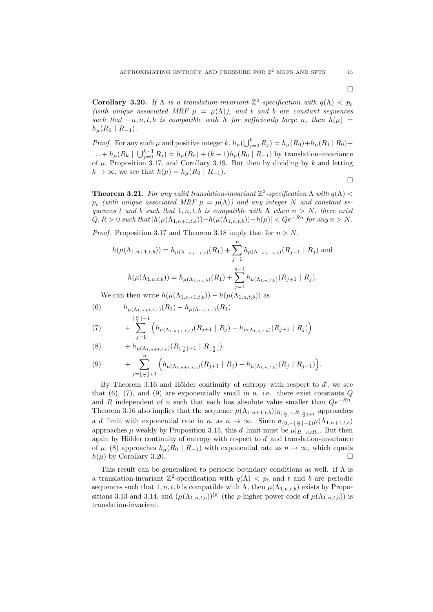Corollary 3.20. If  $\Lambda$  is a translation-invariant  $\mathbb{Z}^2$ -specification with  $q(\Lambda) < p_c$ (with unique associated MRF  $\mu = \mu(\Lambda)$ ), and t and b are constant sequences such that  $-n, n, t, b$  is compatible with  $\Lambda$  for sufficiently large n, then  $h(\mu)$  =  $h_\mu(R_0 \mid R_{-1}).$ 

*Proof.* For any such  $\mu$  and positive integer k,  $h_{\mu}(\bigcup_{j=0}^{k} R_j) = h_{\mu}(R_0) + h_{\mu}(R_1 \mid R_0) +$  $... + h_{\mu}(R_k \mid \bigcup_{j=0}^{k-1} R_j) = h_{\mu}(R_0) + (k-1)h_{\mu}(R_0 \mid R_{-1})$  by translation-invariance of  $\mu$ , Proposition 3.17, and Corollary 3.19. But then by dividing by k and letting  $k \to \infty$ , we see that  $h(\mu) = h_{\mu}(R_0 \mid R_{-1}).$  $\Box$ 

**Theorem 3.21.** For any valid translation-invariant  $\mathbb{Z}^2$ -specification  $\Lambda$  with  $q(\Lambda)$  <  $p_c$  (with unique associated MRF  $\mu = \mu(\Lambda)$ ) and any integer N and constant sequences t and b such that  $1, n, t, b$  is compatible with  $\Lambda$  when  $n > N$ , there exist  $Q, R > 0$  such that  $|h(\mu(\Lambda_{1,n+1,t,b})) - h(\mu(\Lambda_{1,n,t,b})) - h(\mu)| < Qe^{-Rn}$  for any  $n > N$ .

*Proof.* Proposition 3.17 and Theorem 3.18 imply that for  $n > N$ ,

$$
h(\mu(\Lambda_{1,n+1,t,b})) = h_{\mu(\Lambda_{1,n+1,t,b})}(R_1) + \sum_{j=1}^{n} h_{\mu(\Lambda_{1,n+1,t,b})}(R_{j+1} | R_j)
$$
 and  

$$
h(\mu(\Lambda_{1,n,t,b})) = h_{\mu(\Lambda_{1,n,t,b})}(R_1) + \sum_{j=1}^{n-1} h_{\mu(\Lambda_{1,n,t,b})}(R_{j+1} | R_j).
$$

We can then write  $h(\mu(\Lambda_{1,n+1,t}) - h(\mu(\Lambda_{1,n,t})))$  as

(6) 
$$
h_{\mu(\Lambda_{1,n+1,t,b})}(R_1) - h_{\mu(\Lambda_{1,n,t,b})}(R_1)
$$

$$
+ \sum_{k=0}^{\lfloor \frac{n}{2} \rfloor - 1} \left( h_{\mu(\Lambda_{1,n,t,b})}(R_{k+1} | R_1) - h_{\mu(\Lambda_{1,n,t,b})}(R_1) \right)
$$

(7) 
$$
+ \sum_{j=1}^{n} \left( h_{\mu(\Lambda_{1,n+1,t,b})}(R_{j+1} | R_j) - h_{\mu(\Lambda_{1,n,t,b})}(R_{j+1} | R_j) \right)
$$

$$
(8) \qquad \qquad + h_{\mu(\Lambda_{1,n+1,t,b})}(R_{\lfloor \frac{n}{2} \rfloor+1} \mid R_{\lfloor \frac{n}{2} \rfloor})
$$

(9) 
$$
+ \sum_{j=\lfloor \frac{n}{2} \rfloor+1}^{n} \Big( h_{\mu(\Lambda_{1,n+1,t,b})}(R_{j+1} \mid R_j) - h_{\mu(\Lambda_{1,n,t,b})}(R_j \mid R_{j-1}) \Big).
$$

By Theorem 3.16 and Hölder continuity of entropy with respect to  $d$ , we see that  $(6)$ ,  $(7)$ , and  $(9)$  are exponentially small in n, i.e. there exist constants Q and R independent of n such that each has absolute value smaller than  $Qe^{-Rn}$ . Theorem 3.16 also implies that the sequence  $\mu(\Lambda_{1,n+1,t,b})|_{R_{\lfloor \frac{n}{2} \rfloor} \cup R_{\lfloor \frac{n}{2} \rfloor+1}}$  approaches a *d* limit with exponential rate in *n*, as  $n \to \infty$ . Since  $\sigma_{(0,-\lfloor \frac{n}{2} \rfloor-1)} \mu(\Lambda_{1,n+1,t,b})$ approaches  $\mu$  weakly by Proposition 3.15, this d limit must be  $\mu|_{R_{-1}\cup R_0}$ . But then again by Hölder continuity of entropy with respect to  $d$  and translation-invariance of  $\mu$ , (8) approaches  $h_{\mu}(R_0 \mid R_{-1})$  with exponential rate as  $n \to \infty$ , which equals  $h(\mu)$  by Corollary 3.20.

This result can be generalized to periodic boundary conditions as well. If  $\Lambda$  is a translation-invariant  $\mathbb{Z}^2$ -specification with  $q(\Lambda) < p_c$  and t and b are periodic sequences such that  $1, n, t, b$  is compatible with  $\Lambda$ , then  $\mu(\Lambda_{1,n,t,b})$  exists by Propositions 3.13 and 3.14, and  $(\mu(\Lambda_{1,n,t,b}))^{[p]}$  (the *p*-higher power code of  $\mu(\Lambda_{1,n,t,b})$ ) is translation-invariant.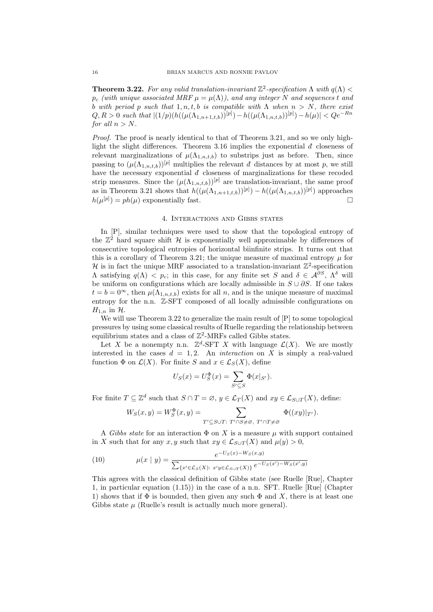**Theorem 3.22.** For any valid translation-invariant  $\mathbb{Z}^2$ -specification  $\Lambda$  with  $q(\Lambda)$  <  $p_c$  (with unique associated MRF  $\mu = \mu(\Lambda)$ ), and any integer N and sequences t and b with period p such that 1, n, t, b is compatible with  $\Lambda$  when  $n > N$ , there exist  $Q, R > 0$  such that  $|(1/p)(h((\mu(\Lambda_{1,n+1,t,b}))^{[p]}) - h((\mu(\Lambda_{1,n,t,b}))^{[p]}) - h(\mu)| < Qe^{-Rn}$ for all  $n > N$ .

Proof. The proof is nearly identical to that of Theorem 3.21, and so we only highlight the slight differences. Theorem 3.16 implies the exponential  $d$  closeness of relevant marginalizations of  $\mu(\Lambda_{1,n,t,b})$  to substrips just as before. Then, since passing to  $(\mu(\Lambda_{1,n,t,b}))^{[p]}$  multiplies the relevant d distances by at most p, we still have the necessary exponential  $d$  closeness of marginalizations for these recoded strip measures. Since the  $(\mu(\Lambda_{1,n,t,b}))^{[p]}$  are translation-invariant, the same proof as in Theorem 3.21 shows that  $h((\mu(\Lambda_{1,n+1,t,b}))^{[p]}) - h((\mu(\Lambda_{1,n,t,b}))^{[p]})$  approaches  $h(\mu^{[p]}) = ph(\mu)$  exponentially fast.

## 4. Interactions and Gibbs states

In [P], similar techniques were used to show that the topological entropy of the  $\mathbb{Z}^2$  hard square shift H is exponentially well approximable by differences of consecutive topological entropies of horizontal biinfinite strips. It turns out that this is a corollary of Theorem 3.21; the unique measure of maximal entropy  $\mu$  for  $\mathcal H$  is in fact the unique MRF associated to a translation-invariant  $\mathbb Z^2$ -specification  $Λ$  satisfying  $q(Λ) < p_c$ ; in this case, for any finite set S and  $δ ∈ A<sup>∂S</sup>$ ,  $Λ<sup>δ</sup>$  will be uniform on configurations which are locally admissible in  $S \cup \partial S$ . If one takes  $t = b = 0^{\infty}$ , then  $\mu(\Lambda_{1,n,t,b})$  exists for all n, and is the unique measure of maximal entropy for the n.n. Z-SFT composed of all locally admissible configurations on  $H_{1,n}$  in  $\mathcal{H}$ .

We will use Theorem 3.22 to generalize the main result of  $[P]$  to some topological pressures by using some classical results of Ruelle regarding the relationship between equilibrium states and a class of  $\mathbb{Z}^2$ -MRFs called Gibbs states.

Let X be a nonempty n.n.  $\mathbb{Z}^d$ -SFT X with language  $\mathcal{L}(X)$ . We are mostly interested in the cases  $d = 1, 2$ . An *interaction* on X is simply a real-valued function  $\Phi$  on  $\mathcal{L}(X)$ . For finite S and  $x \in \mathcal{L}_S(X)$ , define

$$
U_S(x) = U_S^{\Phi}(x) = \sum_{S' \subseteq S} \Phi(x|_{S'}).
$$

For finite  $T \subseteq \mathbb{Z}^d$  such that  $S \cap T = \emptyset$ ,  $y \in \mathcal{L}_T(X)$  and  $xy \in \mathcal{L}_{S \cup T}(X)$ , define:

$$
W_S(x,y)=W_S^{\Phi}(x,y)=\sum_{T'\subseteq S\cup T:\ T'\cap S\neq\varnothing,\ T'\cap T\neq\varnothing}\ \Phi((xy)|_{T'}).
$$

A Gibbs state for an interaction  $\Phi$  on X is a measure  $\mu$  with support contained in X such that for any x, y such that  $xy \in \mathcal{L}_{S \cup T}(X)$  and  $\mu(y) > 0$ ,

(10) 
$$
\mu(x \mid y) = \frac{e^{-U_S(x) - W_S(x,y)}}{\sum_{\{x' \in \mathcal{L}_S(X): \ x'y \in \mathcal{L}_{S \cup T}(X)\}} e^{-U_S(x') - W_S(x',y)}}
$$

This agrees with the classical definition of Gibbs state (see Ruelle [Rue], Chapter 1, in particular equation (1.15)) in the case of a n.n. SFT. Ruelle [Rue] (Chapter 1) shows that if  $\Phi$  is bounded, then given any such  $\Phi$  and X, there is at least one Gibbs state  $\mu$  (Ruelle's result is actually much more general).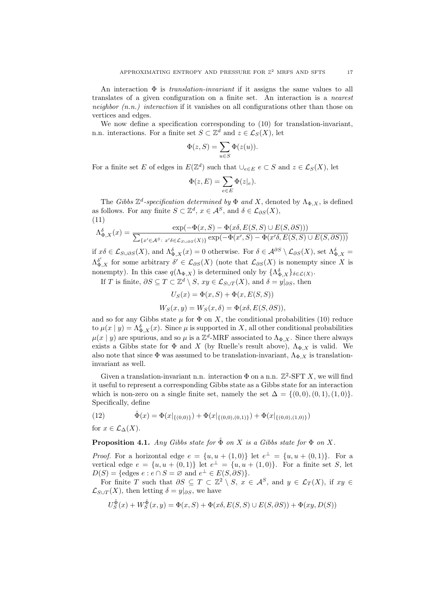An interaction  $\Phi$  is *translation-invariant* if it assigns the same values to all translates of a given configuration on a finite set. An interaction is a nearest neighbor  $(n.n.)$  interaction if it vanishes on all configurations other than those on vertices and edges.

We now define a specification corresponding to (10) for translation-invariant, n.n. interactions. For a finite set  $S \subset \mathbb{Z}^d$  and  $z \in \mathcal{L}_S(X)$ , let

$$
\Phi(z, S) = \sum_{u \in S} \Phi(z(u)).
$$

For a finite set E of edges in  $E(\mathbb{Z}^d)$  such that  $\bigcup_{e \in E} e \subset S$  and  $z \in \mathcal{L}_S(X)$ , let

$$
\Phi(z, E) = \sum_{e \in E} \Phi(z|e).
$$

The Gibbs  $\mathbb{Z}^d$ -specification determined by  $\Phi$  and X, denoted by  $\Lambda_{\Phi,X}$ , is defined as follows. For any finite  $S \subset \mathbb{Z}^d$ ,  $x \in \mathcal{A}^S$ , and  $\delta \in \mathcal{L}_{\partial S}(X)$ , (11)

$$
\Lambda_{\Phi,X}^{\delta}(x)=\frac{\exp(-\Phi(x,S)-\Phi(x\delta,E(S,S)\cup E(S,\partial S)))}{\sum_{\{x'\in\mathcal{A}^S:\ x'\delta\in\mathcal{L}_{S\cup\partial S}(X)\}}\exp(-\Phi(x',S)-\Phi(x'\delta,E(S,S)\cup E(S,\partial S)))}
$$

if  $x\delta \in \mathcal{L}_{S\cup\partial S}(X)$ , and  $\Lambda_{\Phi,X}^{\delta}(x) = 0$  otherwise. For  $\delta \in \mathcal{A}^{\partial S} \setminus \mathcal{L}_{\partial S}(X)$ , set  $\Lambda_{\Phi,X}^{\delta} =$  $\Lambda_{\Phi,X}^{\delta'}$  for some arbitrary  $\delta' \in \mathcal{L}_{\partial S}(X)$  (note that  $\mathcal{L}_{\partial S}(X)$  is nonempty since X is nonempty). In this case  $q(\Lambda_{\Phi,X})$  is determined only by  $\{\Lambda_{\Phi,X}^{\delta}\}_{\delta\in\mathcal{L}(X)}$ .

If T is finite,  $\partial S \subseteq T \subset \mathbb{Z}^d \setminus S$ ,  $xy \in \mathcal{L}_{S \cup T}(X)$ , and  $\delta = y|_{\partial S}$ , then

$$
U_S(x) = \Phi(x, S) + \Phi(x, E(S, S))
$$

$$
W_S(x, y) = W_S(x, \delta) = \Phi(x\delta, E(S, \partial S)),
$$

and so for any Gibbs state  $\mu$  for  $\Phi$  on X, the conditional probabilities (10) reduce to  $\mu(x \mid y) = \Lambda_{\Phi,X}^{\delta}(x)$ . Since  $\mu$  is supported in X, all other conditional probabilities  $\mu(x | y)$  are spurious, and so  $\mu$  is a  $\mathbb{Z}^d$ -MRF associated to  $\Lambda_{\Phi,X}$ . Since there always exists a Gibbs state for  $\Phi$  and X (by Ruelle's result above),  $\Lambda_{\Phi,X}$  is valid. We also note that since  $\Phi$  was assumed to be translation-invariant,  $\Lambda_{\Phi, X}$  is translationinvariant as well.

Given a translation-invariant n.n. interaction  $\Phi$  on a n.n.  $\mathbb{Z}^2$ -SFT X, we will find it useful to represent a corresponding Gibbs state as a Gibbs state for an interaction which is non-zero on a single finite set, namely the set  $\Delta = \{(0,0), (0,1), (1,0)\}.$ Specifically, define

(12) 
$$
\hat{\Phi}(x) = \Phi(x|_{\{(0,0)\}}) + \Phi(x|_{\{(0,0),(0,1)\}}) + \Phi(x|_{\{(0,0),(1,0)\}})
$$

for  $x \in \mathcal{L}_{\Lambda}(X)$ .

**Proposition 4.1.** Any Gibbs state for  $\hat{\Phi}$  on X is a Gibbs state for  $\Phi$  on X.

*Proof.* For a horizontal edge  $e = \{u, u + (1, 0)\}\$ let  $e^{\perp} = \{u, u + (0, 1)\}\$ . For a vertical edge  $e = \{u, u + (0, 1)\}\$ let  $e^{\perp} = \{u, u + (1, 0)\}\$ . For a finite set S, let  $D(S) = \{ \text{edges } e : e \cap S = \emptyset \text{ and } e^{\perp} \in E(S, \partial S) \}.$ 

For finite T such that  $\partial S \subseteq T \subset \mathbb{Z}^2 \setminus S$ ,  $x \in \mathcal{A}^S$ , and  $y \in \mathcal{L}_T(X)$ , if  $xy \in \mathcal{L}_T(X)$  $\mathcal{L}_{S\cup T}(X)$ , then letting  $\delta = y|_{\partial S}$ , we have

$$
U_S^{\hat{\Phi}}(x) + W_S^{\hat{\Phi}}(x, y) = \Phi(x, S) + \Phi(x\delta, E(S, S) \cup E(S, \partial S)) + \Phi(xy, D(S))
$$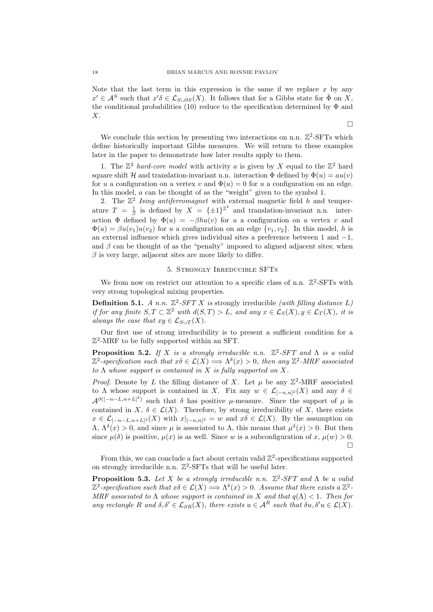Note that the last term in this expression is the same if we replace  $x$  by any  $x' \in \mathcal{A}^S$  such that  $x' \delta \in \mathcal{L}_{S \cup \partial S}(X)$ . It follows that for a Gibbs state for  $\hat{\Phi}$  on X, the conditional probabilities (10) reduce to the specification determined by  $\Phi$  and  $X<sub>l</sub>$ 

We conclude this section by presenting two interactions on n.n.  $\mathbb{Z}^2$ -SFTs which define historically important Gibbs measures. We will return to these examples later in the paper to demonstrate how later results apply to them.

1. The  $\mathbb{Z}^2$  hard-core model with activity a is given by X equal to the  $\mathbb{Z}^2$  hard square shift H and translation-invariant n.n. interaction  $\Phi$  defined by  $\Phi(u) = au(v)$ for u a configuration on a vertex v and  $\Phi(u) = 0$  for u a configuration on an edge. In this model, a can be thought of as the "weight" given to the symbol 1.

2. The  $\mathbb{Z}^2$  Ising antiferromagnet with external magnetic field h and temperature  $T = \frac{1}{\beta}$  is defined by  $X = {\pm 1}^{\mathbb{Z}^2}$  and translation-invariant n.n. interaction  $\Phi$  defined by  $\Phi(u) = -\beta h u(v)$  for u a configuration on a vertex v and  $\Phi(u) = \beta u(v_1)u(v_2)$  for u a configuration on an edge  $\{v_1, v_2\}$ . In this model, h is an external influence which gives individual sites a preference between 1 and −1, and  $\beta$  can be thought of as the "penalty" imposed to aligned adjacent sites; when  $\beta$  is very large, adjacent sites are more likely to differ.

#### 5. Strongly Irreducible SFTs

We from now on restrict our attention to a specific class of n.n.  $\mathbb{Z}^2$ -SFTs with very strong topological mixing properties.

**Definition 5.1.** A n.n.  $\mathbb{Z}^2$ -SFT X is strongly irreducible (with filling distance L) if for any finite  $S, T \subset \mathbb{Z}^2$  with  $d(S,T) > L$ , and any  $x \in \mathcal{L}_S(X)$ ,  $y \in \mathcal{L}_T(X)$ , it is always the case that  $xy \in \mathcal{L}_{S\cup T}(X)$ .

Our first use of strong irreducibility is to present a sufficient condition for a Z 2 -MRF to be fully supported within an SFT.

**Proposition 5.2.** If X is a strongly irreducible n.n.  $\mathbb{Z}^2$ -SFT and  $\Lambda$  is a valid  $\mathbb{Z}^2$ -specification such that  $x\delta \in \mathcal{L}(X) \Longrightarrow \Lambda^{\delta}(x) > 0$ , then any  $\mathbb{Z}^2$ -MRF associated to  $\Lambda$  whose support is contained in X is fully supported on X.

*Proof.* Denote by L the filling distance of X. Let  $\mu$  be any  $\mathbb{Z}^2$ -MRF associated to  $\Lambda$  whose support is contained in X. Fix any  $w \in \mathcal{L}_{[-n,n]^2}(X)$  and any  $\delta \in$  $\mathcal{A}^{\partial([-n-L,n+L]^2)}$  such that  $\delta$  has positive  $\mu$ -measure. Since the support of  $\mu$  is contained in X,  $\delta \in \mathcal{L}(X)$ . Therefore, by strong irreducibility of X, there exists  $x \in \mathcal{L}_{[-n-L,n+L]^2}(X)$  with  $x|_{[-n,n]^2} = w$  and  $x\delta \in \mathcal{L}(X)$ . By the assumption on  $\Lambda, \Lambda^{\delta}(x) > 0$ , and since  $\mu$  is associated to  $\Lambda$ , this means that  $\mu^{\delta}(x) > 0$ . But then since  $\mu(\delta)$  is positive,  $\mu(x)$  is as well. Since w is a subconfiguration of x,  $\mu(w) > 0$ .  $\Box$ 

From this, we can conclude a fact about certain valid  $\mathbb{Z}^2$ -specifications supported on strongly irreducible n.n.  $\mathbb{Z}^2$ -SFTs that will be useful later.

**Proposition 5.3.** Let X be a strongly irreducible n.n.  $\mathbb{Z}^2$ -SFT and  $\Lambda$  be a valid  $\mathbb{Z}^2$ -specification such that  $x\delta \in \mathcal{L}(X) \Longrightarrow \Lambda^{\delta}(x) > 0$ . Assume that there exists a  $\mathbb{Z}^2$ -MRF associated to  $\Lambda$  whose support is contained in X and that  $q(\Lambda) < 1$ . Then for any rectangle R and  $\delta, \delta' \in \mathcal{L}_{\partial R}(X)$ , there exists  $u \in \mathcal{A}^R$  such that  $\delta u, \delta' u \in \mathcal{L}(X)$ .

 $\Box$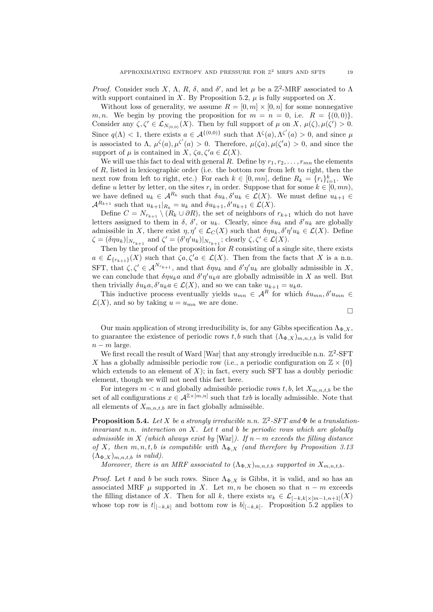Proof. Consider such X,  $\Lambda$ , R,  $\delta$ , and  $\delta'$ , and let  $\mu$  be a  $\mathbb{Z}^2$ -MRF associated to  $\Lambda$ with support contained in X. By Proposition 5.2,  $\mu$  is fully supported on X.

Without loss of generality, we assume  $R = [0, m] \times [0, n]$  for some nonnegative m, n. We begin by proving the proposition for  $m = n = 0$ , i.e.  $R = \{(0,0)\}.$ Consider any  $\zeta, \zeta' \in \mathcal{L}_{N_{(0,0)}}(X)$ . Then by full support of  $\mu$  on X,  $\mu(\zeta), \mu(\zeta') > 0$ . Since  $q(\Lambda) < 1$ , there exists  $a \in \mathcal{A}^{\{(0,0)\}}$  such that  $\Lambda^{\zeta}(a), \Lambda^{\zeta'}(a) > 0$ , and since  $\mu$ is associated to  $\Lambda$ ,  $\mu^{\zeta}(a), \mu^{\zeta'}(a) > 0$ . Therefore,  $\mu(\zeta a), \mu(\zeta' a) > 0$ , and since the support of  $\mu$  is contained in X,  $\zeta a, \zeta' a \in \mathcal{L}(X)$ .

We will use this fact to deal with general R. Define by  $r_1, r_2, \ldots, r_{mn}$  the elements of R, listed in lexicographic order (i.e. the bottom row from left to right, then the next row from left to right, etc.) For each  $k \in [0, mn]$ , define  $R_k = \{r_i\}_{i=1}^k$ . We define u letter by letter, on the sites  $r_i$  in order. Suppose that for some  $k \in [0, mn)$ , we have defined  $u_k \in A^{R_k}$  such that  $\delta u_k, \delta' u_k \in \mathcal{L}(X)$ . We must define  $u_{k+1} \in$  $\mathcal{A}^{R_{k+1}}$  such that  $u_{k+1}|_{R_k} = u_k$  and  $\delta u_{k+1}, \delta' u_{k+1} \in \mathcal{L}(X)$ .

Define  $C = N_{r_{k+1}} \setminus (R_k \cup \partial R)$ , the set of neighbors of  $r_{k+1}$  which do not have letters assigned to them in  $\delta$ ,  $\delta'$ , or  $u_k$ . Clearly, since  $\delta u_k$  and  $\delta' u_k$  are globally admissible in X, there exist  $\eta, \eta' \in \mathcal{L}_C(X)$  such that  $\delta \eta u_k, \delta' \eta' u_k \in \mathcal{L}(X)$ . Define  $\zeta = (\delta \eta u_k)|_{N_{r_{k+1}}}$  and  $\zeta' = (\delta' \eta' u_k)|_{N_{r_{k+1}}}$ ; clearly  $\zeta, \zeta' \in \mathcal{L}(X)$ .

Then by the proof of the proposition for  $R$  consisting of a single site, there exists  $a \in \mathcal{L}_{\{r_{k+1}\}}(X)$  such that  $\zeta a, \zeta' a \in \mathcal{L}(X)$ . Then from the facts that X is a n.n. SFT, that  $\zeta, \zeta' \in \mathcal{A}^{N_{r_{k+1}}}$ , and that  $\delta \eta u_k$  and  $\delta' \eta' u_k$  are globally admissible in X, we can conclude that  $\delta \eta u_k a$  and  $\delta' \eta' u_k a$  are globally admissible in X as well. But then trivially  $\delta u_k a, \delta' u_k a \in \mathcal{L}(X)$ , and so we can take  $u_{k+1} = u_k a$ .

This inductive process eventually yields  $u_{mn} \in A^R$  for which  $\delta u_{mn}, \delta' u_{mn} \in A^R$  $\mathcal{L}(X)$ , and so by taking  $u = u_{mn}$  we are done.

$$
\qquad \qquad \Box
$$

Our main application of strong irreducibility is, for any Gibbs specification  $\Lambda_{\Phi,X}$ , to guarantee the existence of periodic rows t, b such that  $(\Lambda_{\Phi,X})_{m,n,t,b}$  is valid for  $n - m$  large.

We first recall the result of Ward [War] that any strongly irreducible n.n.  $\mathbb{Z}^2$ -SFT X has a globally admissible periodic row (i.e., a periodic configuration on  $\mathbb{Z} \times \{0\}$ which extends to an element of  $X$ ); in fact, every such SFT has a doubly periodic element, though we will not need this fact here.

For integers  $m < n$  and globally admissible periodic rows t, b, let  $X_{m,n,t,b}$  be the set of all configurations  $x \in \mathcal{A}^{\mathbb{Z}\times [m,n]}$  such that  $txb$  is locally admissible. Note that all elements of  $X_{m,n,t,b}$  are in fact globally admissible.

**Proposition 5.4.** Let X be a strongly irreducible n.n.  $\mathbb{Z}^2$ -SFT and  $\Phi$  be a translationinvariant n.n. interaction on X. Let t and b be periodic rows which are globally admissible in X (which always exist by [War]). If  $n-m$  exceeds the filling distance of X, then  $m, n, t, b$  is compatible with  $\Lambda_{\Phi, X}$  (and therefore by Proposition 3.13  $(\Lambda_{\Phi,X})_{m,n,t,b}$  is valid).

Moreover, there is an MRF associated to  $(\Lambda_{\Phi,X})_{m,n,t,b}$  supported in  $X_{m,n,t,b}$ .

*Proof.* Let t and b be such rows. Since  $\Lambda_{\Phi,X}$  is Gibbs, it is valid, and so has an associated MRF  $\mu$  supported in X. Let  $m, n$  be chosen so that  $n - m$  exceeds the filling distance of X. Then for all k, there exists  $w_k \in \mathcal{L}_{[-k,k]\times[m-1,n+1]}(X)$ whose top row is  $t|_{[-k,k]}$  and bottom row is  $b|_{[-k,k]}$ . Proposition 5.2 applies to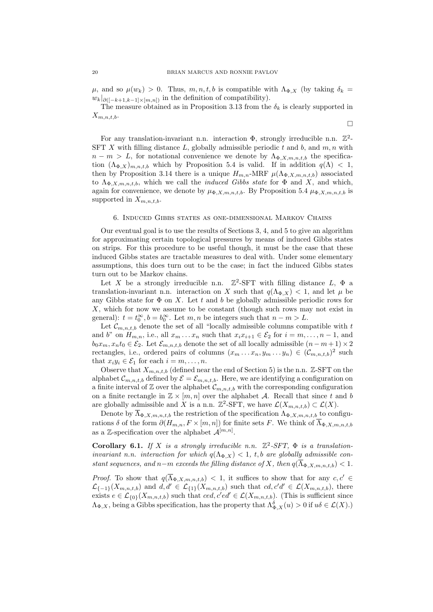$\mu$ , and so  $\mu(w_k) > 0$ . Thus,  $m, n, t, b$  is compatible with  $\Lambda_{\Phi,X}$  (by taking  $\delta_k =$  $w_k|_{\partial([-k+1,k-1]\times[m,n])}$  in the definition of compatibility).

The measure obtained as in Proposition 3.13 from the  $\delta_k$  is clearly supported in  $X_{m,n,t,b}$ .

 $\Box$ 

For any translation-invariant n.n. interaction  $\Phi$ , strongly irreducible n.n.  $\mathbb{Z}^2$ -SFT X with filling distance L, globally admissible periodic  $t$  and  $b$ , and  $m, n$  with  $n - m > L$ , for notational convenience we denote by  $\Lambda_{\Phi,X,m,n,t,b}$  the specification  $(\Lambda_{\Phi,X})_{m,n,t,b}$  which by Proposition 5.4 is valid. If in addition  $q(\Lambda) < 1$ , then by Proposition 3.14 there is a unique  $H_{m,n}$ -MRF  $\mu(\Lambda_{\Phi,X,m,n,t,b})$  associated to  $\Lambda_{\Phi,X,m,n,t,b}$ , which we call the *induced Gibbs state* for  $\Phi$  and X, and which, again for convenience, we denote by  $\mu_{\Phi,X,m,n,t,b}$ . By Proposition 5.4  $\mu_{\Phi,X,m,n,t,b}$  is supported in  $X_{m,n,t,b}$ .

### 6. Induced Gibbs states as one-dimensional Markov Chains

Our eventual goal is to use the results of Sections 3, 4, and 5 to give an algorithm for approximating certain topological pressures by means of induced Gibbs states on strips. For this procedure to be useful though, it must be the case that these induced Gibbs states are tractable measures to deal with. Under some elementary assumptions, this does turn out to be the case; in fact the induced Gibbs states turn out to be Markov chains.

Let X be a strongly irreducible n.n.  $\mathbb{Z}^2$ -SFT with filling distance  $L$ ,  $\Phi$  a translation-invariant n.n. interaction on X such that  $q(\Lambda_{\Phi} | X) < 1$ , and let  $\mu$  be any Gibbs state for  $\Phi$  on X. Let t and b be globally admissible periodic rows for  $X$ , which for now we assume to be constant (though such rows may not exist in general):  $t = t_0^{\infty}$ ,  $b = b_0^{\infty}$ . Let  $m, n$  be integers such that  $n - m > L$ .

Let  $\mathcal{C}_{m,n,t,b}$  denote the set of all "locally admissible columns compatible with t and b" on  $H_{m,n}$ , i.e., all  $x_m \ldots x_n$  such that  $x_i x_{i+1} \in \mathcal{E}_2$  for  $i = m, \ldots, n-1$ , and  $b_0x_m, x_nt_0 \in \mathcal{E}_2$ . Let  $\mathcal{E}_{m,n,t,b}$  denote the set of all locally admissible  $(n-m+1) \times 2$ rectangles, i.e., ordered pairs of columns  $(x_m \ldots x_n, y_m \ldots y_n) \in (\mathcal{C}_{m,n,t,b})^2$  such that  $x_i y_i \in \mathcal{E}_1$  for each  $i = m, \ldots, n$ .

Observe that  $X_{m,n,t,b}$  (defined near the end of Section 5) is the n.n. Z-SFT on the alphabet  $\mathcal{C}_{m,n,t,b}$  defined by  $\mathcal{E} = \mathcal{E}_{m,n,t,b}$ . Here, we are identifying a configuration on a finite interval of  $\mathbb Z$  over the alphabet  $\mathcal C_{m,n,t,b}$  with the corresponding configuration on a finite rectangle in  $\mathbb{Z} \times [m, n]$  over the alphabet A. Recall that since t and b are globally admissible and X is a n.n.  $\mathbb{Z}^2$ -SFT, we have  $\mathcal{L}(X_{m,n,t,b}) \subset \mathcal{L}(X)$ .

Denote by  $\overline{\Lambda}_{\Phi,X,m,n,t,b}$  the restriction of the specification  $\Lambda_{\Phi,X,m,n,t,b}$  to configurations  $\delta$  of the form  $\partial(H_{m,n}, F \times [m,n])$  for finite sets F. We think of  $\overline{\Lambda}_{\Phi,X,m,n,t,b}$ as a Z-specification over the alphabet  $\mathcal{A}^{[m,n]}$ .

Corollary 6.1. If X is a strongly irreducible n.n.  $\mathbb{Z}^2$ -SFT,  $\Phi$  is a translationinvariant n.n. interaction for which  $q(\Lambda_{\Phi,X}) < 1$ , t, b are globally admissible constant sequences, and n–m exceeds the filling distance of X, then  $q(\overline{\Lambda}_{\Phi,X,m,n,t,b}) < 1$ .

*Proof.* To show that  $q(\overline{\Lambda}_{\Phi,X,m,n,t,b}) < 1$ , it suffices to show that for any  $c, c' \in$  $\mathcal{L}_{\{-1\}}(X_{m,n,t,b})$  and  $d,d' \in \mathcal{L}_{\{1\}}(X_{m,n,t,b})$  such that  $cd,c'd' \in \mathcal{L}(X_{m,n,t,b})$ , there exists  $e \in \mathcal{L}_{\{0\}}(X_{m,n,t,b})$  such that  $ced, c'd' \in \mathcal{L}(X_{m,n,t,b})$ . (This is sufficient since  $\Lambda_{\Phi,X}$ , being a Gibbs specification, has the property that  $\Lambda_{\Phi,X}^{\delta}(u) > 0$  if  $u\delta \in \mathcal{L}(X)$ .)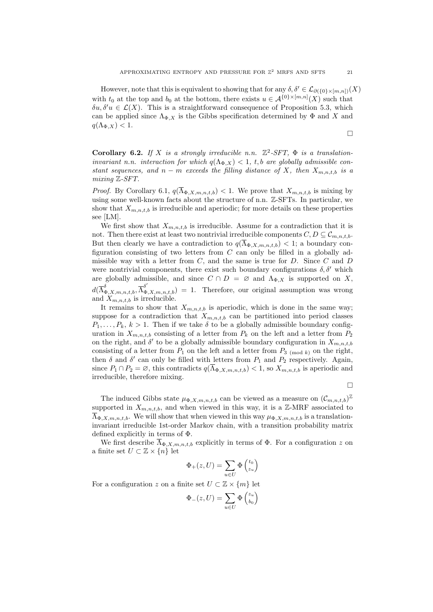However, note that this is equivalent to showing that for any  $\delta, \delta' \in \mathcal{L}_{\partial(\{0\}\times[m,n])}(X)$ with  $t_0$  at the top and  $b_0$  at the bottom, there exists  $u \in A^{\{0\}\times[m,n]}(X)$  such that  $\delta u, \delta' u \in \mathcal{L}(X)$ . This is a straightforward consequence of Proposition 5.3, which can be applied since  $\Lambda_{\Phi,X}$  is the Gibbs specification determined by  $\Phi$  and X and  $q(\Lambda_{\Phi,X})$  < 1.

Corollary 6.2. If X is a strongly irreducible n.n.  $\mathbb{Z}^2$ -SFT,  $\Phi$  is a translationinvariant n.n. interaction for which  $q(\Lambda_{\Phi,X}) < 1$ , t, b are globally admissible constant sequences, and  $n - m$  exceeds the filling distance of X, then  $X_{m,n,t,b}$  is a mixing Z-SFT.

*Proof.* By Corollary 6.1,  $q(\overline{\Lambda}_{\Phi,X,m,n,t,b}) < 1$ . We prove that  $X_{m,n,t,b}$  is mixing by using some well-known facts about the structure of n.n. Z-SFTs. In particular, we show that  $X_{m,n,t,b}$  is irreducible and aperiodic; for more details on these properties see [LM].

We first show that  $X_{m,n,t,b}$  is irreducible. Assume for a contradiction that it is not. Then there exist at least two nontrivial irreducible components  $C, D \subseteq \mathcal{C}_{m,n,t,b}$ . But then clearly we have a contradiction to  $q(\overline{\Lambda}_{\Phi,X,m,n,t,b}) < 1$ ; a boundary configuration consisting of two letters from  $C$  can only be filled in a globally admissible way with a letter from  $C$ , and the same is true for  $D$ . Since  $C$  and  $D$ were nontrivial components, there exist such boundary configurations  $\delta, \delta'$  which are globally admissible, and since  $C \cap D = \emptyset$  and  $\Lambda_{\Phi,X}$  is supported on X,  $d(\overline{\Lambda}_{\Phi,X,m,n,t,b}^{\delta},\overline{\Lambda}_{\Phi,X,m,n,t,b}^{\delta'})=1.$  Therefore, our original assumption was wrong and  $X_{m,n,t,b}$  is irreducible.

It remains to show that  $X_{m,n,t,b}$  is aperiodic, which is done in the same way; suppose for a contradiction that  $X_{m,n,t,b}$  can be partitioned into period classes  $P_1, \ldots, P_k, k > 1$ . Then if we take  $\delta$  to be a globally admissible boundary configuration in  $X_{m,n,t,b}$  consisting of a letter from  $P_k$  on the left and a letter from  $P_2$ on the right, and  $\delta'$  to be a globally admissible boundary configuration in  $X_{m,n,t,b}$ consisting of a letter from  $P_1$  on the left and a letter from  $P_3$  (mod k) on the right, then  $\delta$  and  $\delta'$  can only be filled with letters from  $P_1$  and  $P_2$  respectively. Again, since  $P_1 \cap P_2 = \emptyset$ , this contradicts  $q(\overline{\Lambda}_{\Phi,X,m,n,t,b}) < 1$ , so  $X_{m,n,t,b}$  is aperiodic and irreducible, therefore mixing.

 $\Box$ 

The induced Gibbs state  $\mu_{\Phi,X,m,n,t,b}$  can be viewed as a measure on  $(\mathcal{C}_{m,n,t,b})^{\mathbb{Z}}$ supported in  $X_{m,n,t,b}$ , and when viewed in this way, it is a Z-MRF associated to  $\overline{\Lambda}_{\Phi,X,m,n,t,b}$ . We will show that when viewed in this way  $\mu_{\Phi,X,m,n,t,b}$  is a translationinvariant irreducible 1st-order Markov chain, with a transition probability matrix defined explicitly in terms of Φ.

We first describe  $\overline{\Lambda}_{\Phi,X,m,n,t,b}$  explicitly in terms of  $\Phi$ . For a configuration z on a finite set  $U \subset \mathbb{Z} \times \{n\}$  let

$$
\Phi_+(z,U) = \sum_{u \in U} \Phi \begin{pmatrix} t_0 \\ z_u \end{pmatrix}
$$

For a configuration z on a finite set  $U \subset \mathbb{Z} \times \{m\}$  let

$$
\Phi_{-}(z,U) = \sum_{u \in U} \Phi \begin{pmatrix} z_u \\ b_0 \end{pmatrix}
$$

 $\Box$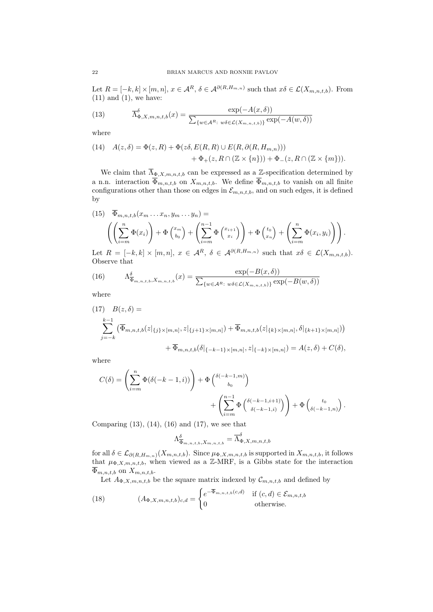Let  $R = [-k, k] \times [m, n], x \in \mathcal{A}^R$ ,  $\delta \in \mathcal{A}^{\partial(R, H_{m,n})}$  such that  $x\delta \in \mathcal{L}(X_{m,n,t,b})$ . From  $(11)$  and  $(1)$ , we have:

(13) 
$$
\overline{\Lambda}_{\Phi,X,m,n,t,b}^{\delta}(x) = \frac{\exp(-A(x,\delta))}{\sum_{\{w \in A^R:\ w\delta \in \mathcal{L}(X_{m,n,t,b})\}} \exp(-A(w,\delta))}
$$

where

(14) 
$$
A(z,\delta) = \Phi(z,R) + \Phi(z\delta, E(R,R) \cup E(R,\partial(R,H_{m,n}))) + \Phi_+(z,R \cap (\mathbb{Z} \times \{n\})) + \Phi_-(z,R \cap (\mathbb{Z} \times \{m\})).
$$

We claim that  $\overline{\Lambda}_{\Phi,X,m,n,t,b}$  can be expressed as a Z-specification determined by a n.n. interaction  $\overline{\Phi}_{m,n,t,b}$  on  $X_{m,n,t,b}$ . We define  $\overline{\Phi}_{m,n,t,b}$  to vanish on all finite configurations other than those on edges in  $\mathcal{E}_{m,n,t,b}$ , and on such edges, it is defined by

(15) 
$$
\overline{\Phi}_{m,n,t,b}(x_m \dots x_n, y_m \dots y_n) =
$$
\n
$$
\left( \left( \sum_{i=m}^n \Phi(x_i) \right) + \Phi \left( \sum_{b_0}^{x_m} \Phi \left( \sum_{i=m}^{x_{i+1}} \Phi \left( \frac{x_{i+1}}{x_i} \right) \right) + \Phi \left( \sum_{i=m}^{t_0} \Phi(x_i, y_i) \right) \right).
$$
\nLet  $P$  be the following:

Let  $R = [-k, k] \times [m, n], x \in \mathcal{A}^R$ ,  $\delta \in \mathcal{A}^{\partial(R, H_{m,n})}$  such that  $x\delta \in \mathcal{L}(X_{m,n,t,b})$ . Observe that

(16) 
$$
\Lambda_{\overline{\Phi}_{m,n,t,b},X_{m,n,t,b}}^{\delta}(x) = \frac{\exp(-B(x,\delta))}{\sum_{\{w \in \mathcal{A}^R:\ w\delta \in \mathcal{L}(X_{m,n,t,b})\}} \exp(-B(w,\delta))}
$$

where

$$
(17) \quad B(z,\delta) =
$$
\n
$$
\sum_{j=-k}^{k-1} (\overline{\Phi}_{m,n,t,b}(z|\{j\}\times[m,n],z|\{j+1\}\times[m,n]) + \overline{\Phi}_{m,n,t,b}(z|\{k\}\times[m,n],\delta|\{k+1\}\times[m,n]))
$$
\n
$$
+ \overline{\Phi}_{m,n,t,b}(\delta|\{k+1\}\times[m,n],z|\{k\}\times[m,n]) = A(z,\delta) + C(\delta),
$$

where

$$
C(\delta) = \left(\sum_{i=m}^{n} \Phi(\delta(-k-1,i))\right) + \Phi\left(\frac{\delta(-k-1,m)}{b_0}\right) + \left(\sum_{i=m}^{n-1} \Phi\left(\frac{\delta(-k-1,i+1)}{\delta(-k-1,i)}\right)\right) + \Phi\left(\frac{t_0}{\delta(-k-1,n)}\right).
$$

Comparing (13), (14), (16) and (17), we see that

$$
\Lambda_{\overline{\Phi}_{m,n,t,b},X_{m,n,t,b}}^{\delta} = \overline{\Lambda}_{\Phi,X,m,n,t,b}^{\delta}
$$

for all  $\delta \in \mathcal{L}_{\partial(R,H_{m,n})}(X_{m,n,t,b})$ . Since  $\mu_{\Phi,X,m,n,t,b}$  is supported in  $X_{m,n,t,b}$ , it follows that  $\mu_{\Phi, X, m, n, t, b}$ , when viewed as a Z-MRF, is a Gibbs state for the interaction  $\overline{\Phi}_{m,n,t,b}$  on  $X_{m,n,t,b}$ .

Let  $A_{\Phi,X,m,n,t,b}$  be the square matrix indexed by  $\mathcal{C}_{m,n,t,b}$  and defined by

(18) 
$$
(A_{\Phi,X,m,n,t,b})_{c,d} = \begin{cases} e^{-\overline{\Phi}_{m,n,t,b}(c,d)} & \text{if } (c,d) \in \mathcal{E}_{m,n,t,b} \\ 0 & \text{otherwise.} \end{cases}
$$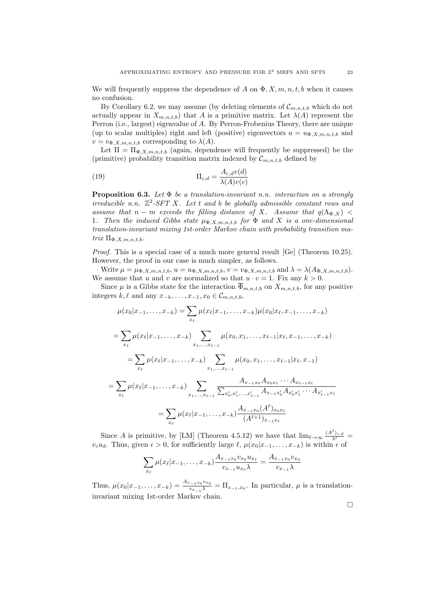We will frequently suppress the dependence of A on  $\Phi$ , X, m, n, t, b when it causes no confusion.

By Corollary 6.2, we may assume (by deleting elements of  $\mathcal{C}_{m,n,t,b}$  which do not actually appear in  $X_{m,n,t,b}$  that A is a primitive matrix. Let  $\lambda(A)$  represent the Perron (i.e., largest) eigenvalue of A. By Perron-Frobenius Theory, there are unique (up to scalar multiples) right and left (positive) eigenvectors  $u = u_{\Phi,X,m,n,t,b}$  and  $v = v_{\Phi,X,m,n,t,b}$  corresponding to  $\lambda(A)$ .

Let  $\Pi = \Pi_{\Phi,X,m,n,t,b}$  (again, dependence will frequently be suppressed) be the (primitive) probability transition matrix indexed by  $\mathcal{C}_{m,n,t,b}$  defined by

(19) 
$$
\Pi_{c,d} = \frac{A_{c,d}v(d)}{\lambda(A)v(c)}
$$

**Proposition 6.3.** Let  $\Phi$  be a translation-invariant n.n. interaction on a strongly irreducible n.n.  $\mathbb{Z}^2$ -SFT X. Let t and b be globally admissible constant rows and assume that  $n - m$  exceeds the filling distance of X. Assume that  $q(\Lambda_{\Phi} x)$  < 1. Then the induced Gibbs state  $\mu_{\Phi,X,m,n,t,b}$  for  $\Phi$  and X is a one-dimensional translation-invariant mixing 1st-order Markov chain with probability transition matrix  $\Pi_{\Phi,X,m,n,t,b}$ .

Proof. This is a special case of a much more general result [Ge] (Theorem 10.25). However, the proof in our case is much simpler, as follows.

Write  $\mu = \mu_{\Phi,X,m,n,t,b}, u = u_{\Phi,X,m,n,t,b}, v = v_{\Phi,X,m,n,t,b}$  and  $\lambda = \lambda(A_{\Phi,X,m,n,t,b}).$ We assume that u and v are normalized so that  $u \cdot v = 1$ . Fix any  $k > 0$ .

Since  $\mu$  is a Gibbs state for the interaction  $\overline{\Phi}_{m,n,t,b}$  on  $X_{m,n,t,b}$ , for any positive integers  $k, \ell$  and any  $x_{-k}, \ldots, x_{-1}, x_0 \in \mathcal{C}_{m,n,t,b}$ ,

$$
\mu(x_0|x_{-1},\ldots,x_{-k}) = \sum_{x_\ell} \mu(x_\ell|x_{-1},\ldots,x_{-k})\mu(x_0|x_\ell,x_{-1},\ldots,x_{-k})
$$

$$
= \sum_{x_\ell} \mu(x_\ell|x_{-1},\ldots,x_{-k}) \sum_{x_1,\ldots,x_{\ell-1}} \mu(x_0,x_1,\ldots,x_{\ell-1}|x_\ell,x_{-1},\ldots,x_{-k})
$$

$$
= \sum_{x_\ell} \mu(x_\ell|x_{-1},\ldots,x_{-k}) \sum_{x_1,\ldots,x_{\ell-1}} \mu(x_0,x_1,\ldots,x_{\ell-1}|x_\ell,x_{-1})
$$

$$
= \sum_{x_\ell} \mu(x_\ell|x_{-1},\ldots,x_{-k}) \sum_{x_1,\ldots,x_{\ell-1}} \frac{A_{x_{-1}x_0}A_{x_0x_1}\cdots A_{x_{\ell-1}x_\ell}}{A_{x_{-1}x_0}'A_{x_0x_1'}\cdots A_{x_{\ell-1}x_\ell}}
$$

$$
= \sum_{x_\ell} \mu(x_\ell|x_{-1},\ldots,x_{-k}) \frac{A_{x_{-1}x_0}(A^\ell)_{x_0x_\ell}}{(A^{\ell+1})_{x_{-1}x_\ell}}
$$

Since A is primitive, by [LM] (Theorem 4.5.12) we have that  $\lim_{\ell\to\infty} \frac{(A^{\ell})_{c,d}}{\lambda^{\ell}} =$  $v_c u_d$ . Thus, given  $\epsilon > 0$ , for sufficiently large  $\ell$ ,  $\mu(x_0|x_{-1}, \ldots, x_{-k})$  is within  $\epsilon$  of

$$
\sum_{x_{\ell}} \mu(x_{\ell}|x_{-1},\ldots,x_{-k}) \frac{A_{x_{-1}x_0}v_{x_0}u_{x_{\ell}}}{v_{x_{-1}}u_{x_{\ell}}\lambda} = \frac{A_{x_{-1}x_0}v_{x_0}}{v_{x_{-1}}\lambda}
$$

Thus,  $\mu(x_0|x_{-1},\ldots,x_{-k}) = \frac{A_{x_{-1}x_0}v_{x_0}}{v_{-k}}$  $\frac{v_{-1}x_0 v_{x_0}}{v_{x_{-1}}\lambda} = \Pi_{x_{-1},x_0}$ . In particular,  $\mu$  is a translationinvariant mixing 1st-order Markov chain.

 $\Box$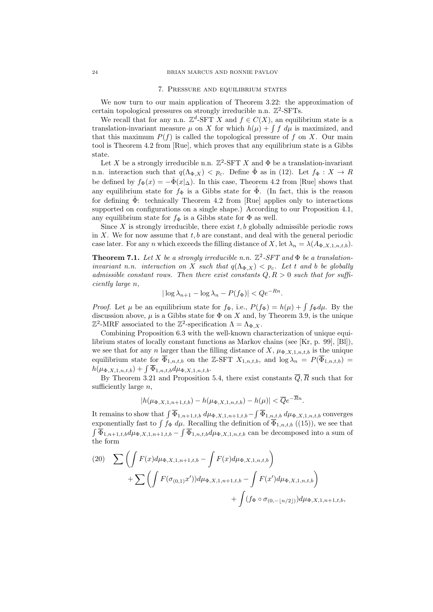#### 7. Pressure and equilibrium states

We now turn to our main application of Theorem 3.22: the approximation of certain topological pressures on strongly irreducible n.n.  $\mathbb{Z}^2$ -SFTs.

We recall that for any n.n.  $\mathbb{Z}^d$ -SFT X and  $f \in C(X)$ , an equilibrium state is a translation-invariant measure  $\mu$  on X for which  $h(\mu) + \int f d\mu$  is maximized, and that this maximum  $P(f)$  is called the topological pressure of f on X. Our main tool is Theorem 4.2 from [Rue], which proves that any equilibrium state is a Gibbs state.

Let X be a strongly irreducible n.n.  $\mathbb{Z}^2$ -SFT X and  $\Phi$  be a translation-invariant n.n. interaction such that  $q(\Lambda_{\Phi,X}) < p_c$ . Define  $\hat{\Phi}$  as in (12). Let  $f_{\Phi}: X \to R$ be defined by  $f_{\Phi}(x) = -\hat{\Phi}(x|\Delta)$ . In this case, Theorem 4.2 from [Rue] shows that any equilibrium state for  $f_{\Phi}$  is a Gibbs state for  $\Phi$ . (In fact, this is the reason for defining  $\Phi$ : technically Theorem 4.2 from [Rue] applies only to interactions supported on configurations on a single shape.) According to our Proposition 4.1, any equilibrium state for  $f_{\Phi}$  is a Gibbs state for  $\Phi$  as well.

Since X is strongly irreducible, there exist  $t, b$  globally admissible periodic rows in  $X$ . We for now assume that  $t, b$  are constant, and deal with the general periodic case later. For any n which exceeds the filling distance of X, let  $\lambda_n = \lambda(A_{\Phi,X,1,n,t,b})$ .

**Theorem 7.1.** Let X be a strongly irreducible n.n.  $\mathbb{Z}^2$ -SFT and  $\Phi$  be a translationinvariant n.n. interaction on X such that  $q(\Lambda_{\Phi,X}) < p_c$ . Let t and b be globally admissible constant rows. Then there exist constants  $Q, R > 0$  such that for sufficiently large n,

$$
|\log \lambda_{n+1} - \log \lambda_n - P(f_{\Phi})| < Qe^{-Rn}.
$$

*Proof.* Let  $\mu$  be an equilibrium state for  $f_{\Phi}$ , i.e.,  $P(f_{\Phi}) = h(\mu) + \int f_{\Phi} d\mu$ . By the discussion above,  $\mu$  is a Gibbs state for  $\Phi$  on X and, by Theorem 3.9, is the unique  $\mathbb{Z}^2$ -MRF associated to the  $\mathbb{Z}^2$ -specification  $Λ = Λ_{Φ,X}$ .

Combining Proposition 6.3 with the well-known characterization of unique equilibrium states of locally constant functions as Markov chains (see [Kr, p. 99], [Bl]), we see that for any n larger than the filling distance of X,  $\mu_{\Phi,X,1,n,t,b}$  is the unique equilibrium state for  $\overline{\Phi}_{1,n,t,b}$  on the Z-SFT  $X_{1,n,t,b}$ , and  $\log \lambda_n = P(\overline{\Phi}_{1,n,t,b}) =$  $h(\mu_{\Phi,X,1,n,t,b}) + \int \overline{\Phi}_{1,n,t,b} d\mu_{\Phi,X,1,n,t,b}.$ 

By Theorem 3.21 and Proposition 5.4, there exist constants  $\overline{Q}$ ,  $\overline{R}$  such that for sufficiently large  $n$ ,

$$
|h(\mu_{\Phi,X,1,n+1,t,b}) - h(\mu_{\Phi,X,1,n,t,b}) - h(\mu)| < \overline{Q}e^{-Rn}.
$$

It remains to show that  $\int \overline{\Phi}_{1,n+1,t,b} d\mu_{\Phi,X,1,n+1,t,b} - \int \overline{\Phi}_{1,n,t,b} d\mu_{\Phi,X,1,n,t,b}$  converges exponentially fast to  $\int f_{\Phi} d\mu$ . Recalling the definition of  $\overline{\Phi}_{1,n,t,b}$  ((15)), we see that  $\int \overline{\Phi}_{1,n+1,t,b} d\mu_{\Phi,X,1,n+1,t,b} - \int \overline{\Phi}_{1,n,t,b} d\mu_{\Phi,X,1,n,t,b}$  can be decomposed into a sum of the form

(20) 
$$
\sum \left( \int F(x) d\mu_{\Phi,X,1,n+1,t,b} - \int F(x) d\mu_{\Phi,X,1,n,t,b} \right) + \sum \left( \int F(\sigma_{(0,1)} x') d\mu_{\Phi,X,1,n+1,t,b} - \int F(x') d\mu_{\Phi,X,1,n,t,b} \right) + \int (f_{\Phi} \circ \sigma_{(0,-\lfloor n/2 \rfloor)}) d\mu_{\Phi,X,1,n+1,t,b},
$$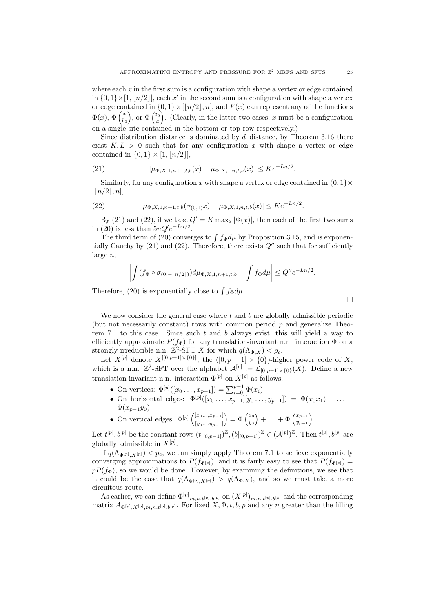where each  $x$  in the first sum is a configuration with shape a vertex or edge contained in  $\{0,1\} \times [1, n/2]$ , each x' in the second sum is a configuration with shape a vertex or edge contained in  $\{0, 1\} \times \left[\lfloor n/2 \rfloor, n\right]$ , and  $F(x)$  can represent any of the functions  $\Phi(x), \, \Phi\left(\frac{x}{b}\right)$  $\begin{pmatrix} x \\ b_0 \end{pmatrix}$ , or  $\Phi \begin{pmatrix} t_0 \\ x \end{pmatrix}$  $x^{(t_0)}($ . (Clearly, in the latter two cases, x must be a configuration on a single site contained in the bottom or top row respectively.)

Since distribution distance is dominated by  $d\bar{d}$  distance, by Theorem 3.16 there exist  $K, L > 0$  such that for any configuration x with shape a vertex or edge contained in  $\{0, 1\} \times [1, |n/2|],$ 

(21) 
$$
|\mu_{\Phi,X,1,n+1,t,b}(x) - \mu_{\Phi,X,1,n,t,b}(x)| \leq Ke^{-Ln/2}.
$$

Similarly, for any configuration x with shape a vertex or edge contained in  $\{0, 1\} \times$  $\lfloor n/2\rfloor, n$ ,

(22) 
$$
|\mu_{\Phi,X,1,n+1,t,b}(\sigma_{(0,1)}x) - \mu_{\Phi,X,1,n,t,b}(x)| \leq Ke^{-Ln/2}.
$$

By (21) and (22), if we take  $Q' = K \max_x |\Phi(x)|$ , then each of the first two sums in (20) is less than  $5nQ'e^{-Ln/2}$ .

The third term of (20) converges to  $\int f_{\Phi} d\mu$  by Proposition 3.15, and is exponentially Cauchy by  $(21)$  and  $(22)$ . Therefore, there exists  $Q''$  such that for sufficiently large n,

$$
\left| \int (f_{\Phi} \circ \sigma_{(0,-\lfloor n/2 \rfloor)}) d\mu_{\Phi,X,1,n+1,t,b} - \int f_{\Phi} d\mu \right| \leq Q'' e^{-Ln/2}.
$$

Therefore, (20) is exponentially close to  $\int f_{\Phi} d\mu$ .

We now consider the general case where  $t$  and  $b$  are globally admissible periodic (but not necessarily constant) rows with common period p and generalize Theorem 7.1 to this case. Since such  $t$  and  $b$  always exist, this will yield a way to efficiently approximate  $P(f_{\Phi})$  for any translation-invariant n.n. interaction  $\Phi$  on a strongly irreducible n.n.  $\mathbb{Z}^2$ -SFT X for which  $q(\Lambda_{\Phi,X}) < p_c$ .

Let  $X^{[p]}$  denote  $X^{[[0,p-1]\times{0}]}$ , the  $([0,p-1]\times{0})$ -higher power code of X, which is a n.n.  $\mathbb{Z}^2$ -SFT over the alphabet  $\mathcal{A}^{[p]} := \mathcal{L}_{[0,p-1]\times\{0\}}(X)$ . Define a new translation-invariant n.n. interaction  $\Phi^{[p]}$  on  $X^{[p]}$  as follows:

- On vertices:  $\Phi^{[p]}([x_0, ..., x_{p-1}]) = \sum_{i=0}^{p-1} \Phi(x_i)$
- On horizontal edges:  $\Phi^{[p]}([x_0, ..., x_{p-1}][y_0, ..., y_{p-1}]) = \Phi(x_0x_1) + ...$  $\Phi(x_{p-1}y_0)$
- On vertical edges:  $\Phi^{[p]}$   $\binom{[x_0, ..., x_{p-1}]}{[x]_q}$  $[y_0...,y_{p-1}]$  $= \Phi \left( \frac{x_0}{u_0} \right)$  $\begin{pmatrix} x_0 \ y_0 \end{pmatrix} + \ldots + \Phi \begin{pmatrix} x_{p-1} \ y_{p-1} \end{pmatrix}$

Let  $t^{[p]}, b^{[p]}$  be the constant rows  $(t|_{[0,p-1]})^{\mathbb{Z}}, (b|_{[0,p-1]})^{\mathbb{Z}} \in (\mathcal{A}^{[p]})^{\mathbb{Z}}$ . Then  $t^{[p]}, b^{[p]}$  are globally admissible in  $X^{[p]}$ .

If  $q(\Lambda_{\Phi^{[p]}, X^{[p]}}) < p_c$ , we can simply apply Theorem 7.1 to achieve exponentially converging approximations to  $P(f_{\Phi^{[p]}})$ , and it is fairly easy to see that  $P(f_{\Phi^{[p]}})$  =  $pP(f_\Phi)$ , so we would be done. However, by examining the definitions, we see that it could be the case that  $q(\Lambda_{\Phi[p], X^{[p]}}) > q(\Lambda_{\Phi,X})$ , and so we must take a more circuitous route.

As earlier, we can define  $\Phi^{[p]}_{m,n,t^{[p]},b^{[p]}}$  on  $(X^{[p]})_{m,n,t^{[p]},b^{[p]}}$  and the corresponding matrix  $A_{\Phi^{[p]}, X^{[p]}, m, n, t^{[p]}, b^{[p]}}$ . For fixed  $X, \Phi, t, b, p$  and any n greater than the filling

 $\Box$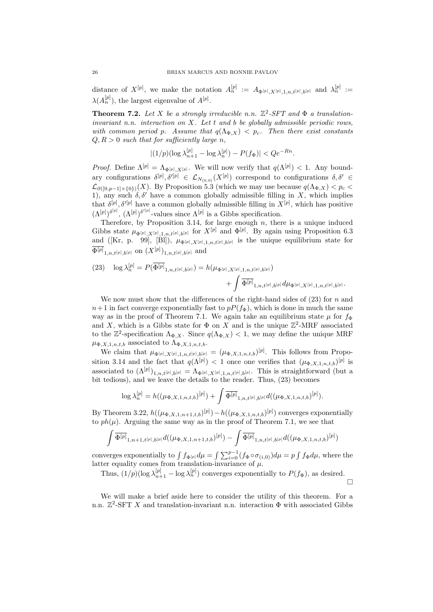distance of  $X^{[p]}$ , we make the notation  $A_n^{[p]} := A_{\Phi^{[p]},X^{[p]},1,n,t^{[p]},b^{[p]}}$  and  $\lambda_n^{[p]} :=$  $\lambda(A_n^{[p]}),$  the largest eigenvalue of  $A^{[p]}.$ 

**Theorem 7.2.** Let X be a strongly irreducible n.n.  $\mathbb{Z}^2$ -SFT and  $\Phi$  a translationinvariant n.n. interaction on  $X$ . Let  $t$  and  $b$  be globally admissible periodic rows, with common period p. Assume that  $q(\Lambda_{\Phi,X}) < p_c$ . Then there exist constants  $Q, R > 0$  such that for sufficiently large n,

$$
|(1/p)(\log \lambda_{n+1}^{[p]} - \log \lambda_n^{[p]}) - P(f_{\Phi})| < Qe^{-Rn}.
$$

*Proof.* Define  $\Lambda^{[p]} = \Lambda_{\Phi^{[p]}, X^{[p]}}$ . We will now verify that  $q(\Lambda^{[p]}) < 1$ . Any boundary configurations  $\delta^{[p]}, \delta'^{[p]} \in \mathcal{L}_{N_{(0,0)}}(X^{[p]})$  correspond to configurations  $\delta, \delta' \in$  $\mathcal{L}_{\partial([0,p-1]\times\{0\})}(X)$ . By Proposition 5.3 (which we may use because  $q(\Lambda_{\Phi,X}) < p_c$ 1), any such  $\delta$ ,  $\delta'$  have a common globally admissible filling in X, which implies that  $\delta^{[p]}, \delta'^{[p]}$  have a common globally admissible filling in  $X^{[p]}$ , which has positive  $(\Lambda^{[p]})^{\delta^{[p]}}, (\Lambda^{[p]})^{\delta'^{[p]}}$ -values since  $\Lambda^{[p]}$  is a Gibbs specification.

Therefore, by Proposition 3.14, for large enough  $n$ , there is a unique induced Gibbs state  $\mu_{\Phi^{[p]},X^{[p]},1,n,t^{[p]},b^{[p]}}$  for  $X^{[p]}$  and  $\Phi^{[p]}$ . By again using Proposition 6.3 and ([Kr, p. 99], [Bl]),  $\mu_{\Phi^{[p]}, X^{[p]}, 1, n, t^{[p]}, b^{[p]}}$  is the unique equilibrium state for  $\Phi^{[p]}{}_{1,n,t^{[p]},b^{[p]}}$  on  $(X^{[p]})_{1,n,t^{[p]},b^{[p]}}$  and

(23) 
$$
\log \lambda_n^{[p]} = P(\overline{\Phi^{[p]}}_{1,n,t^{[p]},b^{[p]}}) = h(\mu_{\Phi^{[p]},X^{[p]},1,n,t^{[p]},b^{[p]}}) + \int \overline{\Phi^{[p]}}_{1,n,t^{[p]},b^{[p]}} d\mu_{\Phi^{[p]},X^{[p]},1,n,t^{[p]},b^{[p]}}.
$$

We now must show that the differences of the right-hand sides of  $(23)$  for n and  $n+1$  in fact converge exponentially fast to  $pP(f_{\Phi})$ , which is done in much the same way as in the proof of Theorem 7.1. We again take an equilibrium state  $\mu$  for  $f_{\Phi}$ and X, which is a Gibbs state for  $\Phi$  on X and is the unique  $\mathbb{Z}^2$ -MRF associated to the  $\mathbb{Z}^2$ -specification  $\Lambda_{\Phi,X}$ . Since  $q(\Lambda_{\Phi,X}) < 1$ , we may define the unique MRF  $\mu_{\Phi,X,1,n,t,b}$  associated to  $\Lambda_{\Phi,X,1,n,t,b}.$ 

We claim that  $\mu_{\Phi^{[p]},X^{[p]},1,n,t^{[p]},b^{[p]}} = (\mu_{\Phi,X,1,n,t,b})^{[p]}$ . This follows from Proposition 3.14 and the fact that  $q(\Lambda^{[p]}) < 1$  once one verifies that  $(\mu_{\Phi,X,1,n,t,b})^{[p]}$  is associated to  $(\Lambda^{[p]})_{1,n,t^{[p]},b^{[p]}} = \Lambda_{\Phi^{[p]},X^{[p]},1,n,t^{[p]},b^{[p]}}$ . This is straightforward (but a bit tedious), and we leave the details to the reader. Thus, (23) becomes

$$
\log \lambda_n^{[p]} = h((\mu_{\Phi,X,1,n,t,b})^{[p]}) + \int \overline{\Phi^{[p]}}_{1,n,t^{[p]},b^{[p]}} d((\mu_{\Phi,X,1,n,t,b})^{[p]}).
$$

By Theorem 3.22,  $h((\mu_{\Phi,X,1,n+1,t,b})^{[p]}) - h((\mu_{\Phi,X,1,n,t,b})^{[p]})$  converges exponentially to  $ph(\mu)$ . Arguing the same way as in the proof of Theorem 7.1, we see that

$$
\int \overline{\Phi^{[p]}}_{1,n+1,t^{[p]},b^{[p]}}d((\mu_{\Phi,X,1,n+1,t,b})^{[p]})-\int \overline{\Phi^{[p]}}_{1,n,t^{[p]},b^{[p]}}d((\mu_{\Phi,X,1,n,t,b})^{[p]})
$$

converges exponentially to  $\int f_{\Phi^{[p]}} d\mu = \int \sum_{i=0}^{p-1} (f_{\Phi} \circ \sigma_{(i,0)}) d\mu = p \int f_{\Phi} d\mu$ , where the latter equality comes from translation-invariance of  $\mu$ .

Thus,  $(1/p)(\log \lambda_{n+1}^{[p]} - \log \lambda_n^{[p]})$  converges exponentially to  $P(f_{\Phi})$ , as desired.  $\Box$ 

We will make a brief aside here to consider the utility of this theorem. For a n.n.  $\mathbb{Z}^2$ -SFT X and translation-invariant n.n. interaction  $\Phi$  with associated Gibbs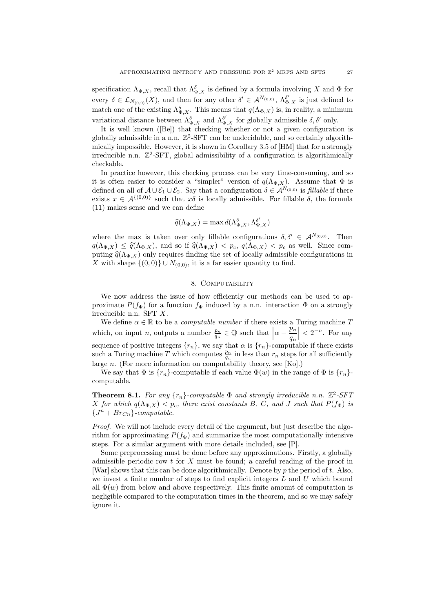specification  $\Lambda_{\Phi,X}$ , recall that  $\Lambda_{\Phi,X}^{\delta}$  is defined by a formula involving X and  $\Phi$  for every  $\delta \in \mathcal{L}_{N_{(0,0)}}(X)$ , and then for any other  $\delta' \in \mathcal{A}^{N_{(0,0)}}, \Lambda^{\delta'}_{\Phi,X}$  is just defined to match one of the existing  $\Lambda_{\Phi,X}^{\delta}$ . This means that  $q(\Lambda_{\Phi,X})$  is, in reality, a minimum variational distance between  $\Lambda_{\Phi,X}^{\delta}$  and  $\Lambda_{\Phi,X}^{\delta'}$  for globally admissible  $\delta, \delta'$  only.

It is well known ([Be]) that checking whether or not a given configuration is globally admissible in a n.n.  $\mathbb{Z}^2$ -SFT can be undecidable, and so certainly algorithmically impossible. However, it is shown in Corollary 3.5 of [HM] that for a strongly irreducible n.n. Z 2 -SFT, global admissibility of a configuration is algorithmically checkable.

In practice however, this checking process can be very time-consuming, and so it is often easier to consider a "simpler" version of  $q(\Lambda_{\Phi} \chi)$ . Assume that  $\Phi$  is defined on all of  $A\cup \mathcal{E}_1\cup \mathcal{E}_2$ . Say that a configuration  $\delta \in \mathcal{A}^{N_{(0,0)}}$  is *fillable* if there exists  $x \in A^{\{(0,0)\}}$  such that  $x\delta$  is locally admissible. For fillable  $\delta$ , the formula (11) makes sense and we can define

$$
\widehat{q}(\Lambda_{\Phi,X}) = \max d(\Lambda_{\Phi,X}^{\delta}, \Lambda_{\Phi,X}^{\delta'})
$$

where the max is taken over only fillable configurations  $\delta, \delta' \in \mathcal{A}^{N_{(0,0)}}$ . Then  $q(\Lambda_{\Phi,X}) \leq \hat{q}(\Lambda_{\Phi,X}),$  and so if  $\hat{q}(\Lambda_{\Phi,X}) < p_c$ ,  $q(\Lambda_{\Phi,X}) < p_c$  as well. Since computing  $\hat{q}(\Lambda_{\Phi,X})$  only requires finding the set of locally admissible configurations in X with shape  $\{(0,0)\}\cup N_{(0,0)}$ , it is a far easier quantity to find.

#### 8. Computability

We now address the issue of how efficiently our methods can be used to approximate  $P(f_{\Phi})$  for a function  $f_{\Phi}$  induced by a n.n. interaction  $\Phi$  on a strongly irreducible n.n. SFT X.

We define  $\alpha \in \mathbb{R}$  to be a *computable number* if there exists a Turing machine  $T$ which, on input *n*, outputs a number  $\frac{p_n}{q_n} \in \mathbb{Q}$  such that  $\left|\alpha - \frac{p_n}{q_n}\right|$  $q_n$  $\Big| < 2^{-n}$ . For any sequence of positive integers  $\{r_n\}$ , we say that  $\alpha$  is  $\{r_n\}$ -computable if there exists such a Turing machine T which computes  $\frac{p_n}{q_n}$  in less than  $r_n$  steps for all sufficiently large n. (For more information on computability theory, see [Ko].)

We say that  $\Phi$  is  $\{r_n\}$ -computable if each value  $\Phi(w)$  in the range of  $\Phi$  is  $\{r_n\}$ computable.

**Theorem 8.1.** For any  $\{r_n\}$ -computable  $\Phi$  and strongly irreducible n.n.  $\mathbb{Z}^2$ -SFT X for which  $q(\Lambda_{\Phi,X}) < p_c$ , there exist constants B, C, and J such that  $P(f_{\Phi})$  is  ${J<sup>n</sup> + Br<sub>Cn</sub>}$ -computable.

Proof. We will not include every detail of the argument, but just describe the algorithm for approximating  $P(f_{\Phi})$  and summarize the most computationally intensive steps. For a similar argument with more details included, see [P].

Some preprocessing must be done before any approximations. Firstly, a globally admissible periodic row  $t$  for  $X$  must be found; a careful reading of the proof in [War] shows that this can be done algorithmically. Denote by  $p$  the period of  $t$ . Also, we invest a finite number of steps to find explicit integers  $L$  and  $U$  which bound all  $\Phi(w)$  from below and above respectively. This finite amount of computation is negligible compared to the computation times in the theorem, and so we may safely ignore it.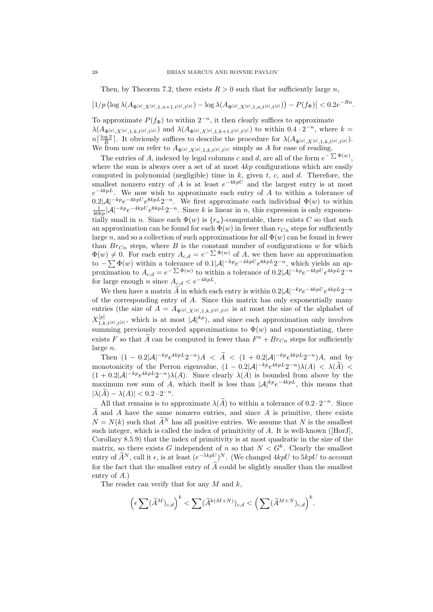Then, by Theorem 7.2, there exists  $R > 0$  such that for sufficiently large n,

$$
\left|1/p\left(\log\lambda(A_{\Phi^{[p]},X^{[p]},1,n+1,t^{[p]},t^{[p]}})-\log\lambda(A_{\Phi^{[p]},X^{[p]},1,n,t^{[p]},t^{[p]}})\right)-P(f_\Phi)\right|<0.2e^{-Rn}.
$$

To approximate  $P(f_{\Phi})$  to within  $2^{-n}$ , it then clearly suffices to approximate  $\lambda(A_{\Phi^{[p]},X^{[p]},1,k,t^{[p]},t^{[p]}})$  and  $\lambda(A_{\Phi^{[p]},X^{[p]},1,k+1,t^{[p]},t^{[p]}})$  to within  $0.4 \cdot 2^{-n}$ , where  $k=$  $n\lceil \frac{\log 2}{R} \rceil$ . It obviously suffices to describe the procedure for  $\lambda(A_{\Phi^{[p]}, X^{[p]}, 1, k, t^{[p]}, t^{[p]}})$ . We from now on refer to  $A_{\Phi^{[p]},X^{[p]},1,k,t^{[p]},t^{[p]}}$  simply as A for ease of reading.

The entries of A, indexed by legal columns c and d, are all of the form  $e^{-\sum \Phi(w)}$ , where the sum is always over a set of at most  $4kp$  configurations which are easily computed in polynomial (negligible) time in  $k$ , given  $t$ ,  $c$ , and  $d$ . Therefore, the smallest nonzero entry of A is at least  $e^{-4kpU}$  and the largest entry is at most  $e^{-4kpL}$ . We now wish to approximate each entry of A to within a tolerance of  $0.2|\mathcal{A}|^{-kp}e^{-4kpU}e^{8kpL}2^{-n}$ . We first approximate each individual  $\Phi(w)$  to within  $\frac{1}{40kp}|\mathcal{A}|^{-kp}e^{-4kpU}e^{8kpL}2^{-n}$ . Since k is linear in n, this expression is only exponentially small in n. Since each  $\Phi(w)$  is  $\{r_n\}$ -computable, there exists C so that such an approximation can be found for each  $\Phi(w)$  in fewer than  $r_{C_n}$  steps for sufficiently large n, and so a collection of such approximations for all  $\Phi(w)$  can be found in fewer than  $Br_{Cn}$  steps, where B is the constant number of configurations w for which  $\Phi(w) \neq 0$ . For each entry  $A_{c,d} = e^{-\sum \Phi(w)}$  of A, we then have an approximation to  $-\sum \Phi(w)$  within a tolerance of  $0.1|\mathcal{A}|^{-kp}e^{-4kpU}e^{8kpL}2^{-n}$ , which yields an approximation to  $A_{c,d} = e^{-\sum \Phi(w)}$  to within a tolerance of  $0.2|\mathcal{A}|^{-kp}e^{-4kpU}e^{4kpL}2^{-n}$ for large enough n since  $A_{c,d} < e^{-4kpL}$ .

We then have a matrix  $\widetilde{A}$  in which each entry is within  $0.2|\mathcal{A}|^{-kp}e^{-4kpU}e^{4kpL}2^{-n}$ of the corresponding entry of A. Since this matrix has only exponentially many entries (the size of  $A = A_{\Phi^{[p]}, X^{[p]}, 1, k, t^{[p]}, t^{[p]}}$  is at most the size of the alphabet of  $X^{[p]}_{1-l}$  $1, k, t^{[p]},$  which is at most  $|\mathcal{A}|^{kp}$ , and since each approximation only involves summing previously recorded approximations to  $\Phi(w)$  and exponentiating, there exists F so that  $\tilde{A}$  can be computed in fewer than  $F^n + Br_{C_n}$  steps for sufficiently large n.

Then  $(1 - 0.2|\mathcal{A}|^{-kp}e^{4kpL}2^{-n})A < \tilde{A} < (1 + 0.2|\mathcal{A}|^{-kp}e^{4kpL}2^{-n})A$ , and by monotonicity of the Perron eigenvalue,  $(1 - 0.2|\mathcal{A}|^{-kp}e^{4kpL}2^{-n})\lambda(A) < \lambda(\tilde{A}) <$  $(1+0.2|\mathcal{A}|^{-kp}e^{4kpL}2^{-n})\lambda(A)$ . Since clearly  $\lambda(A)$  is bounded from above by the maximum row sum of A, which itself is less than  $|A|^{kp}e^{-4kpL}$ , this means that  $|\lambda(\widetilde{A}) - \lambda(A)| < 0.2 \cdot 2^{-n}.$ 

All that remains is to approximate  $\lambda(\tilde{A})$  to within a tolerance of  $0.2 \cdot 2^{-n}$ . Since  $\tilde{A}$  and A have the same nonzero entries, and since A is primitive, there exists  $N = N(k)$  such that  $\widetilde{A}^N$  has all positive entries. We assume that N is the smallest such integer, which is called the index of primitivity of A. It is well-known ([HorJ], Corollary 8.5.9) that the index of primitivity is at most quadratic in the size of the matrix, so there exists G independent of n so that  $N < G<sup>k</sup>$ . Clearly the smallest entry of  $\widetilde{A}^N$ , call it  $\epsilon$ , is at least  $(e^{-5kpU})^N$ . (We changed 4kpU to 5kpU to account for the fact that the smallest entry of  $\widetilde{A}$  could be slightly smaller than the smallest entry of A.)

The reader can verify that for any  $M$  and  $k$ ,

$$
\left(\epsilon\sum(\widetilde{A}^M)_{c,d}\right)^k < \sum(\widetilde{A}^{k(M+N)})_{c,d} < \left(\sum(\widetilde{A}^{M+N})_{c,d}\right)^k.
$$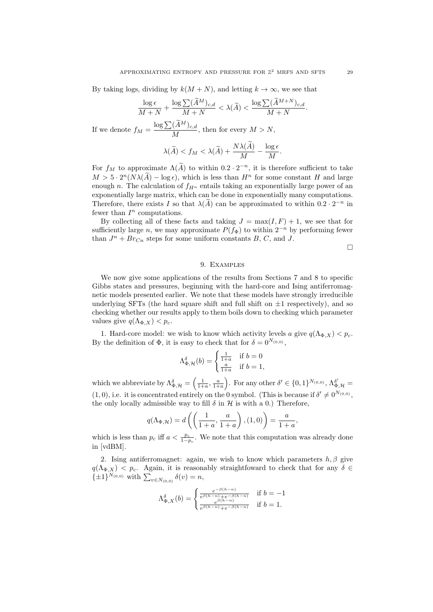By taking logs, dividing by  $k(M+N)$ , and letting  $k \to \infty$ , we see that

$$
\frac{\log \epsilon}{M+N} + \frac{\log \sum (\widetilde{A}^M)_{c,d}}{M+N} < \lambda(\widetilde{A}) < \frac{\log \sum (\widetilde{A}^{M+N})_{c,d}}{M+N}.
$$

If we denote  $f_M = \frac{\log \sum (\widetilde{A}^M)_{c,d}}{M}$  $\frac{N^{(1)}(N+1)}{M}$ , then for every  $M > N$ ,

$$
\lambda(\widetilde{A}) < f_M < \lambda(\widetilde{A}) + \frac{N\lambda(A)}{M} - \frac{\log \epsilon}{M}.
$$

For  $f_M$  to approximate  $\Lambda(\tilde{A})$  to within  $0.2 \cdot 2^{-n}$ , it is therefore sufficient to take  $M > 5 \cdot 2^{n}(N\lambda(\tilde{A}) - \log \epsilon)$ , which is less than  $H^{n}$  for some constant H and large enough n. The calculation of  $f_{H^n}$  entails taking an exponentially large power of an exponentially large matrix, which can be done in exponentially many computations. Therefore, there exists I so that  $\lambda(\tilde{A})$  can be approximated to within  $0.2 \cdot 2^{-n}$  in fewer than  $I<sup>n</sup>$  computations.

By collecting all of these facts and taking  $J = \max(I, F) + 1$ , we see that for sufficiently large n, we may approximate  $P(f_{\Phi})$  to within  $2^{-n}$  by performing fewer than  $J^n + Br_{Cn}$  steps for some uniform constants B, C, and J.

 $\Box$ 

#### 9. Examples

We now give some applications of the results from Sections 7 and 8 to specific Gibbs states and pressures, beginning with the hard-core and Ising antiferromagnetic models presented earlier. We note that these models have strongly irreducible underlying SFTs (the hard square shift and full shift on  $\pm 1$  respectively), and so checking whether our results apply to them boils down to checking which parameter values give  $q(\Lambda_{\Phi,X}) < p_c$ .

1. Hard-core model: we wish to know which activity levels a give  $q(\Lambda_{\Phi,X}) < p_c$ . By the definition of  $\Phi$ , it is easy to check that for  $\delta = 0^{N_{(0,0)}},$ 

$$
\Lambda_{\Phi,\mathcal{H}}^{\delta}(b) = \begin{cases} \frac{1}{1+a} & \text{if } b = 0\\ \frac{a}{1+a} & \text{if } b = 1, \end{cases}
$$

which we abbreviate by  $\Lambda_{\Phi,\mathcal{H}}^{\delta} = \left(\frac{1}{1+a}, \frac{a}{1+a}\right)$ . For any other  $\delta' \in \{0,1\}^{N_{(0,0)}}, \Lambda_{\Phi,\mathcal{H}}^{\delta'} =$  $(1,0)$ , i.e. it is concentrated entirely on the 0 symbol. (This is because if  $\delta' \neq 0^{N_{(0,0)}},$ the only locally admissible way to fill  $\delta$  in  $\mathcal H$  is with a 0.) Therefore,

$$
q(\Lambda_{\Phi,\mathcal{H}}) = d\left(\left(\frac{1}{1+a}, \frac{a}{1+a}\right), (1,0)\right) = \frac{a}{1+a}
$$

,

which is less than  $p_c$  iff  $a < \frac{p_c}{1-p_c}$ . We note that this computation was already done in [vdBM].

2. Ising antiferromagnet: again, we wish to know which parameters  $h, \beta$  give  $q(\Lambda_{\Phi,X})$  < p<sub>c</sub>. Again, it is reasonably straightfoward to check that for any  $\delta \in$  $\{\pm 1\}^{N_{(0,0)}}$  with  $\sum_{v \in N_{(0,0)}} \delta(v) = n$ ,

$$
\Lambda_{\Phi,X}^{\delta}(b) = \begin{cases} \frac{e^{-\beta(h-n)}}{e^{\beta(h-n)} + e^{-\beta(h-n)}} & \text{if } b = -1\\ \frac{e^{\beta(h-n)}}{e^{\beta(h-n)} + e^{-\beta(h-n)}} & \text{if } b = 1. \end{cases}
$$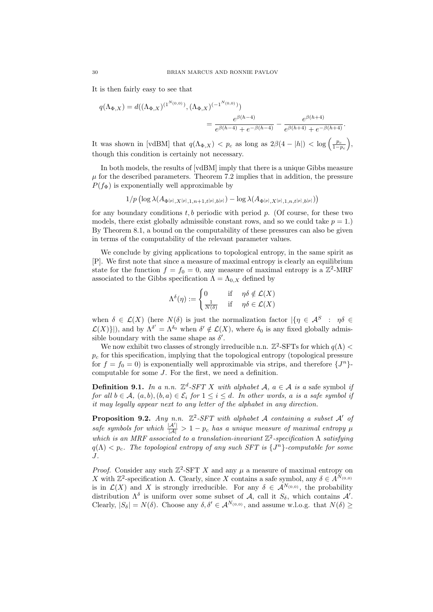It is then fairly easy to see that

$$
q(\Lambda_{\Phi,X}) = d((\Lambda_{\Phi,X})^{(1^{N_{(0,0)}})}, (\Lambda_{\Phi,X})^{(-1^{N_{(0,0)}})})
$$
  
= 
$$
\frac{e^{\beta(h-4)}}{e^{\beta(h-4)} + e^{-\beta(h-4)}} - \frac{e^{\beta(h+4)}}{e^{\beta(h+4)} + e^{-\beta(h+4)}}.
$$

It was shown in [vdBM] that  $q(\Lambda_{\Phi,X}) < p_c$  as long as  $2\beta(4 - |h|) < \log\left(\frac{p_c}{1-p_c}\right)$ , though this condition is certainly not necessary.

In both models, the results of [vdBM] imply that there is a unique Gibbs measure  $\mu$  for the described parameters. Theorem 7.2 implies that in addition, the pressure  $P(f_{\Phi})$  is exponentially well approximable by

$$
1/p \left( \log \lambda(A_{\Phi^{[p]}, X^{[p]}, 1, n+1, t^{[p]}, b^{[p]}}) - \log \lambda(A_{\Phi^{[p]}, X^{[p]}, 1, n, t^{[p]}, b^{[p]}}) \right)
$$

for any boundary conditions  $t, b$  periodic with period p. (Of course, for these two models, there exist globally admissible constant rows, and so we could take  $p = 1$ . By Theorem 8.1, a bound on the computability of these pressures can also be given in terms of the computability of the relevant parameter values.

We conclude by giving applications to topological entropy, in the same spirit as [P]. We first note that since a measure of maximal entropy is clearly an equilibrium state for the function  $f = f_0 = 0$ , any measure of maximal entropy is a  $\mathbb{Z}^2$ -MRF associated to the Gibbs specification  $\Lambda = \Lambda_{0,X}$  defined by

$$
\Lambda^{\delta}(\eta) := \begin{cases} 0 & \text{if } \eta \delta \notin \mathcal{L}(X) \\ \frac{1}{N(\delta)} & \text{if } \eta \delta \in \mathcal{L}(X) \end{cases}
$$

when  $\delta \in \mathcal{L}(X)$  (here  $N(\delta)$  is just the normalization factor  $|\{\eta \in \mathcal{A}^S : \eta \delta \in$  $\mathcal{L}(X)\}|$ , and by  $\Lambda^{\delta'} = \Lambda^{\delta_0}$  when  $\delta' \notin \mathcal{L}(X)$ , where  $\delta_0$  is any fixed globally admissible boundary with the same shape as  $\delta'$ .

We now exhibit two classes of strongly irreducible n.n.  $\mathbb{Z}^2$ -SFTs for which  $q(\Lambda)$  <  $p_c$  for this specification, implying that the topological entropy (topological pressure for  $f = f_0 = 0$ ) is exponentially well approximable via strips, and therefore  $\{J^n\}$ computable for some J. For the first, we need a definition.

**Definition 9.1.** In a n.n.  $\mathbb{Z}^d$ -SFT X with alphabet  $A, a \in \mathcal{A}$  is a safe symbol if for all  $b \in \mathcal{A}$ ,  $(a, b), (b, a) \in \mathcal{E}_i$  for  $1 \leq i \leq d$ . In other words, a is a safe symbol if it may legally appear next to any letter of the alphabet in any direction.

**Proposition 9.2.** Any n.n.  $\mathbb{Z}^2$ -SFT with alphabet A containing a subset A' of safe symbols for which  $\frac{|A'|}{|A|} > 1 - p_c$  has a unique measure of maximal entropy  $\mu$ which is an MRF associated to a translation-invariant  $\mathbb{Z}^2$ -specification  $\Lambda$  satisfying  $q(\Lambda) < p_c$ . The topological entropy of any such SFT is  $\{J^n\}$ -computable for some J.

*Proof.* Consider any such  $\mathbb{Z}^2$ -SFT X and any  $\mu$  a measure of maximal entropy on X with  $\mathbb{Z}^2$ -specification  $\Lambda$ . Clearly, since X contains a safe symbol, any  $\delta \in A^{N_{(0,0)}}$ is in  $\mathcal{L}(X)$  and X is strongly irreducible. For any  $\delta \in \mathcal{A}^{N_{(0,0)}},$  the probability distribution  $\Lambda^{\delta}$  is uniform over some subset of A, call it  $S_{\delta}$ , which contains A'. Clearly,  $|S_{\delta}| = N(\delta)$ . Choose any  $\delta, \delta' \in \mathcal{A}^{N_{(0,0)}},$  and assume w.l.o.g. that  $N(\delta) \geq$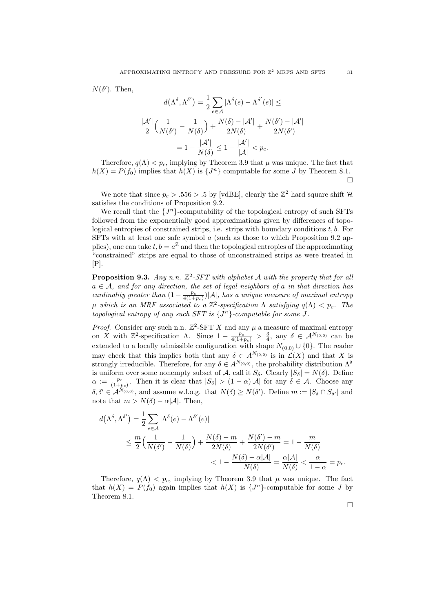$N(\delta')$ . Then,

$$
d(\Lambda^{\delta}, \Lambda^{\delta'}) = \frac{1}{2} \sum_{e \in \mathcal{A}} |\Lambda^{\delta}(e) - \Lambda^{\delta'}(e)| \le
$$

$$
\frac{|\mathcal{A}'|}{2} \Big( \frac{1}{N(\delta')} - \frac{1}{N(\delta)} \Big) + \frac{N(\delta) - |\mathcal{A}'|}{2N(\delta)} + \frac{N(\delta') - |\mathcal{A}'|}{2N(\delta')}
$$

$$
= 1 - \frac{|\mathcal{A}'|}{N(\delta)} \le 1 - \frac{|\mathcal{A}'|}{|\mathcal{A}|} < p_c.
$$

Therefore,  $q(\Lambda) < p_c$ , implying by Theorem 3.9 that  $\mu$  was unique. The fact that  $h(X) = P(f_0)$  implies that  $h(X)$  is  $\{J^n\}$  computable for some J by Theorem 8.1.  $\Box$ 

We note that since  $p_c > .556 > .5$  by [vdBE], clearly the  $\mathbb{Z}^2$  hard square shift  $\mathcal{H}$ satisfies the conditions of Proposition 9.2.

We recall that the  $\{J^n\}$ -computability of the topological entropy of such SFTs followed from the exponentially good approximations given by differences of topological entropies of constrained strips, i.e. strips with boundary conditions  $t, b$ . For SFTs with at least one safe symbol  $\alpha$  (such as those to which Proposition 9.2 applies), one can take  $t, b = a^{\mathbb{Z}}$  and then the topological entropies of the approximating "constrained" strips are equal to those of unconstrained strips as were treated in [P].

**Proposition 9.3.** Any n.n.  $\mathbb{Z}^2$ -SFT with alphabet A with the property that for all  $a \in \mathcal{A}$ , and for any direction, the set of legal neighbors of a in that direction has cardinality greater than  $(1 - \frac{p_c}{4(1+p_c)})|\mathcal{A}|$ , has a unique measure of maximal entropy μ which is an MRF associated to a  $\mathbb{Z}^2$ -specification Λ satisfying  $q(\Lambda) < p_c$ . The topological entropy of any such SFT is  $\{J^n\}$ -computable for some J.

*Proof.* Consider any such n.n.  $\mathbb{Z}^2$ -SFT X and any  $\mu$  a measure of maximal entropy on X with  $\mathbb{Z}^2$ -specification  $\Lambda$ . Since  $1 - \frac{p_c}{4(1+p_c)} > \frac{3}{4}$ , any  $\delta \in \mathcal{A}^{N_{(0,0)}}$  can be extended to a locally admissible configuration with shape  $N_{(0,0)} \cup \{0\}$ . The reader may check that this implies both that any  $\delta \in A^{N_{(0,0)}}$  is in  $\mathcal{L}(X)$  and that X is strongly irreducible. Therefore, for any  $\delta \in A^{N_{(0,0)}}$ , the probability distribution  $\Lambda^{\delta}$ is uniform over some nonempty subset of A, call it  $S_{\delta}$ . Clearly  $|S_{\delta}| = N(\delta)$ . Define  $\alpha := \frac{p_c}{(1+p_c)}$ . Then it is clear that  $|S_\delta| > (1-\alpha)|\mathcal{A}|$  for any  $\delta \in \mathcal{A}$ . Choose any  $\delta, \delta' \in A^{N_{(0,0)}},$  and assume w.l.o.g. that  $N(\delta) \ge N(\delta')$ . Define  $m := |S_{\delta} \cap S_{\delta'}|$  and note that  $m > N(\delta) - \alpha |\mathcal{A}|$ . Then,

$$
d(\Lambda^{\delta}, \Lambda^{\delta'}) = \frac{1}{2} \sum_{e \in \mathcal{A}} |\Lambda^{\delta}(e) - \Lambda^{\delta'}(e)|
$$
  
\$\leq \frac{m}{2} \left( \frac{1}{N(\delta')} - \frac{1}{N(\delta)} \right) + \frac{N(\delta) - m}{2N(\delta)} + \frac{N(\delta') - m}{2N(\delta')} = 1 - \frac{m}{N(\delta)}}\$  
\$\leq 1 - \frac{N(\delta) - \alpha |\mathcal{A}|}{N(\delta)} = \frac{\alpha |\mathcal{A}|}{N(\delta)} < \frac{\alpha}{1 - \alpha} = p\_c.

Therefore,  $q(\Lambda) < p_c$ , implying by Theorem 3.9 that  $\mu$  was unique. The fact that  $h(X) = P(f_0)$  again implies that  $h(X)$  is  $\{J^n\}$ -computable for some J by Theorem 8.1.

 $\Box$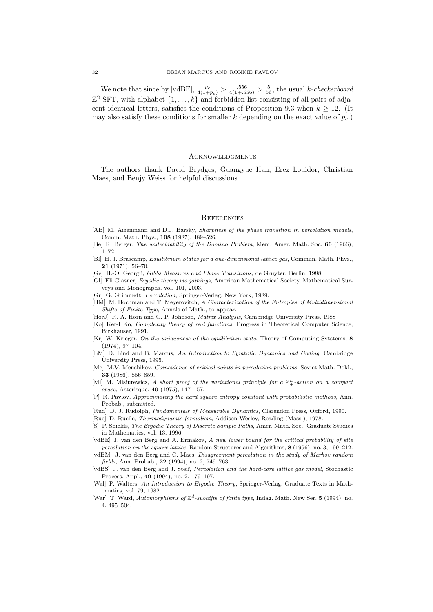We note that since by [vdBE],  $\frac{p_c}{4(1+p_c)} > \frac{.556}{4(1+.556)} > \frac{5}{56}$ , the usual k-checkerboard  $\mathbb{Z}^2$ -SFT, with alphabet  $\{1,\ldots,k\}$  and forbidden list consisting of all pairs of adjacent identical letters, satisfies the conditions of Proposition 9.3 when  $k \geq 12$ . (It may also satisfy these conditions for smaller k depending on the exact value of  $p_c$ .

## **ACKNOWLEDGMENTS**

The authors thank David Brydges, Guangyue Han, Erez Louidor, Christian Maes, and Benjy Weiss for helpful discussions.

### **REFERENCES**

- [AB] M. Aizenmann and D.J. Barsky, Sharpness of the phase transition in percolation models, Comm. Math. Phys., 108 (1987), 489–526.
- [Be] R. Berger, The undecidability of the Domino Problem, Mem. Amer. Math. Soc. 66 (1966), 1–72.
- [Bl] H. J. Brascamp, Equilibrium States for a one-dimensional lattice gas, Commun. Math. Phys., 21 (1971), 56–70.
- [Ge] H.-O. Georgii, Gibbs Measures and Phase Transitions, de Gruyter, Berlin, 1988.
- [Gl] Eli Glasner, Ergodic theory via joinings, American Mathematical Society, Mathematical Surveys and Monographs, vol. 101, 2003.
- [Gr] G. Grimmett, Percolation, Springer-Verlag, New York, 1989.
- [HM] M. Hochman and T. Meyerovitch, A Characterization of the Entropies of Multidimensional Shifts of Finite Type, Annals of Math., to appear.
- [HorJ] R. A. Horn and C. P. Johnson, Matrix Analysis, Cambridge University Press, 1988
- [Ko] Ker-I Ko, Complexity theory of real functions, Progress in Theoretical Computer Science, Birkhauser, 1991.
- [Kr] W. Krieger, On the uniqueness of the equilibrium state, Theory of Computing Sytstems, 8 (1974), 97–104.
- [LM] D. Lind and B. Marcus, An Introduction to Symbolic Dynamics and Coding, Cambridge University Press, 1995.
- [Me] M.V. Menshikov, Coincidence of critical points in percolation problems, Soviet Math. Dokl., 33 (1986), 856–859.
- [Mi] M. Misiurewicz, A short proof of the variational principle for a  $\mathbb{Z}_{+}^{n}$ -action on a compact space, Asterisque, 40 (1975), 147–157.
- [P] R. Pavlov, Approximating the hard square entropy constant with probabilistic methods, Ann. Probab., submitted.
- [Rud] D. J. Rudolph, Fundamentals of Measurable Dynamics, Clarendon Press, Oxford, 1990.
- [Rue] D. Ruelle, Thermodynamic formalism, Addison-Wesley, Reading (Mass.), 1978.
- [S] P. Shields, The Ergodic Theory of Discrete Sample Paths, Amer. Math. Soc., Graduate Studies in Mathematics, vol. 13, 1996.
- [vdBE] J. van den Berg and A. Ermakov, A new lower bound for the critical probability of site percolation on the square lattice, Random Structures and Algorithms, 8 (1996), no. 3, 199–212.
- [vdBM] J. van den Berg and C. Maes, Disagreement percolation in the study of Markov random fields, Ann. Probab., 22 (1994), no. 2, 749-763.
- [vdBS] J. van den Berg and J. Steif, Percolation and the hard-core lattice gas model, Stochastic Process. Appl., 49 (1994), no. 2, 179–197.
- [Wal] P. Walters, An Introduction to Ergodic Theory, Springer-Verlag, Graduate Texts in Mathematics, vol. 79, 1982.
- [War] T. Ward, Automorphisms of  $\mathbb{Z}^d$ -subhifts of finite type, Indag. Math. New Ser. 5 (1994), no. 4, 495–504.